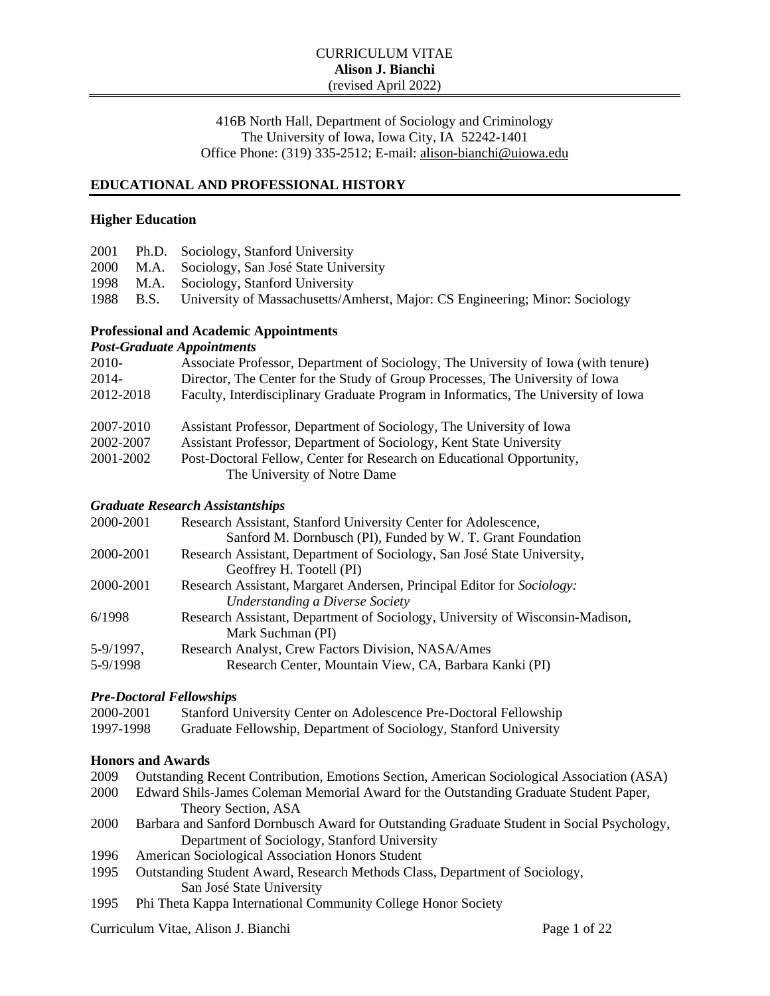416B North Hall, Department of Sociology and Criminology The University of Iowa, Iowa City, IA 52242-1401 Office Phone: (319) 335-2512; E-mail: [alison-bianchi@uiowa.edu](mailto:alison-bianchi@uiowa.edu)

#### **EDUCATIONAL AND PROFESSIONAL HISTORY**

#### **Higher Education**

|  | 2001 Ph.D. Sociology, Stanford University                                              |
|--|----------------------------------------------------------------------------------------|
|  | 2000 M.A. Sociology, San José State University                                         |
|  | 1998 M.A. Sociology, Stanford University                                               |
|  | 1988 B.S. University of Massachusetts/Amherst, Major: CS Engineering; Minor: Sociology |
|  |                                                                                        |

# **Professional and Academic Appointments**

*Post-Graduate Appointments* 2010- Associate Professor, Department of Sociology, The University of Iowa (with tenure) 2014- Director, The Center for the Study of Group Processes, The University of Iowa 2012-2018 Faculty, Interdisciplinary Graduate Program in Informatics, The University of Iowa 2007-2010 Assistant Professor, Department of Sociology, The University of Iowa 2002-2007 Assistant Professor, Department of Sociology, Kent State University 2001-2002 Post-Doctoral Fellow, Center for Research on Educational Opportunity, The University of Notre Dame

# *Graduate Research Assistantships*

| 2000-2001 | Research Assistant, Stanford University Center for Adolescence,               |  |  |
|-----------|-------------------------------------------------------------------------------|--|--|
|           | Sanford M. Dornbusch (PI), Funded by W. T. Grant Foundation                   |  |  |
| 2000-2001 | Research Assistant, Department of Sociology, San José State University,       |  |  |
|           | Geoffrey H. Tootell (PI)                                                      |  |  |
| 2000-2001 | Research Assistant, Margaret Andersen, Principal Editor for Sociology:        |  |  |
|           | <b>Understanding a Diverse Society</b>                                        |  |  |
| 6/1998    | Research Assistant, Department of Sociology, University of Wisconsin-Madison, |  |  |
|           | Mark Suchman (PI)                                                             |  |  |
| 5-9/1997, | Research Analyst, Crew Factors Division, NASA/Ames                            |  |  |
| 5-9/1998  | Research Center, Mountain View, CA, Barbara Kanki (PI)                        |  |  |

#### *Pre-Doctoral Fellowships*

| 2000-2001 | Stanford University Center on Adolescence Pre-Doctoral Fellowship |
|-----------|-------------------------------------------------------------------|
| 1997-1998 | Graduate Fellowship, Department of Sociology, Stanford University |

### **Honors and Awards**

| 2009 | Outstanding Recent Contribution, Emotions Section, American Sociological Association (ASA) |
|------|--------------------------------------------------------------------------------------------|
| 2000 | Edward Shils-James Coleman Memorial Award for the Outstanding Graduate Student Paper,      |
|      | Theory Section, ASA                                                                        |
| 2000 | Barbara and Sanford Dornbusch Award for Outstanding Graduate Student in Social Psychology, |
|      | Department of Sociology, Stanford University                                               |
| 1996 | American Sociological Association Honors Student                                           |
| 1995 | Outstanding Student Award, Research Methods Class, Department of Sociology,                |
|      | San José State University                                                                  |
| 1995 | Phi Theta Kappa International Community College Honor Society                              |

Curriculum Vitae, Alison J. Bianchi Page 1 of 22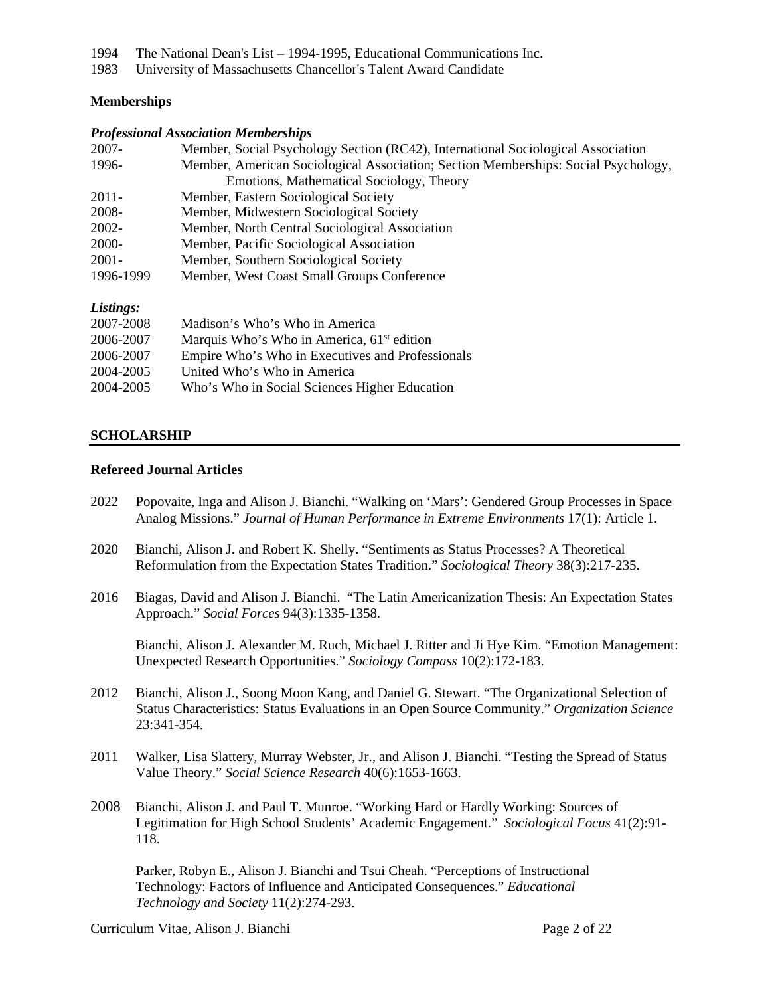- 1994 The National Dean's List 1994-1995, Educational Communications Inc.
- 1983 University of Massachusetts Chancellor's Talent Award Candidate

# **Memberships**

#### *Professional Association Memberships*

| 2007-                                                                   | Member, Social Psychology Section (RC42), International Sociological Association   |  |  |  |
|-------------------------------------------------------------------------|------------------------------------------------------------------------------------|--|--|--|
| 1996-                                                                   | Member, American Sociological Association; Section Memberships: Social Psychology, |  |  |  |
|                                                                         | Emotions, Mathematical Sociology, Theory                                           |  |  |  |
| $2011 -$                                                                | Member, Eastern Sociological Society                                               |  |  |  |
| 2008-                                                                   | Member, Midwestern Sociological Society                                            |  |  |  |
| 2002-                                                                   | Member, North Central Sociological Association                                     |  |  |  |
| 2000-                                                                   | Member, Pacific Sociological Association                                           |  |  |  |
| $2001 -$                                                                | Member, Southern Sociological Society                                              |  |  |  |
| 1996-1999                                                               | Member, West Coast Small Groups Conference                                         |  |  |  |
| Listings:                                                               |                                                                                    |  |  |  |
| 2007-2008                                                               | Madison's Who's Who in America                                                     |  |  |  |
| $\bigwedge \bigwedge \bigwedge \bigwedge \bigwedge \bigwedge \bigwedge$ |                                                                                    |  |  |  |

| $2001 - 2008$ | Magison s who s who in America                         |
|---------------|--------------------------------------------------------|
| 2006-2007     | Marquis Who's Who in America, 61 <sup>st</sup> edition |
| 2006-2007     | Empire Who's Who in Executives and Professionals       |
| 2004-2005     | United Who's Who in America                            |
| 2004-2005     | Who's Who in Social Sciences Higher Education          |
|               |                                                        |

# **SCHOLARSHIP**

### **Refereed Journal Articles**

- 2022 Popovaite, Inga and Alison J. Bianchi. "Walking on 'Mars': Gendered Group Processes in Space Analog Missions." *Journal of Human Performance in Extreme Environments* 17(1): Article 1.
- 2020 Bianchi, Alison J. and Robert K. Shelly. "Sentiments as Status Processes? A Theoretical Reformulation from the Expectation States Tradition." *Sociological Theory* 38(3):217-235.
- 2016 Biagas, David and Alison J. Bianchi. "The Latin Americanization Thesis: An Expectation States Approach." *Social Forces* 94(3):1335-1358.

Bianchi, Alison J. Alexander M. Ruch, Michael J. Ritter and Ji Hye Kim. "Emotion Management: Unexpected Research Opportunities." *Sociology Compass* 10(2):172-183.

- 2012 Bianchi, Alison J., Soong Moon Kang, and Daniel G. Stewart. "The Organizational Selection of Status Characteristics: Status Evaluations in an Open Source Community." *Organization Science* 23:341-354.
- 2011 Walker, Lisa Slattery, Murray Webster, Jr., and Alison J. Bianchi. "Testing the Spread of Status Value Theory." *Social Science Research* 40(6):1653-1663.
- 2008 Bianchi, Alison J. and Paul T. Munroe. "Working Hard or Hardly Working: Sources of Legitimation for High School Students' Academic Engagement." *Sociological Focus* 41(2):91- 118.

Parker, Robyn E., Alison J. Bianchi and Tsui Cheah. "Perceptions of Instructional Technology: Factors of Influence and Anticipated Consequences." *Educational Technology and Society* 11(2):274-293.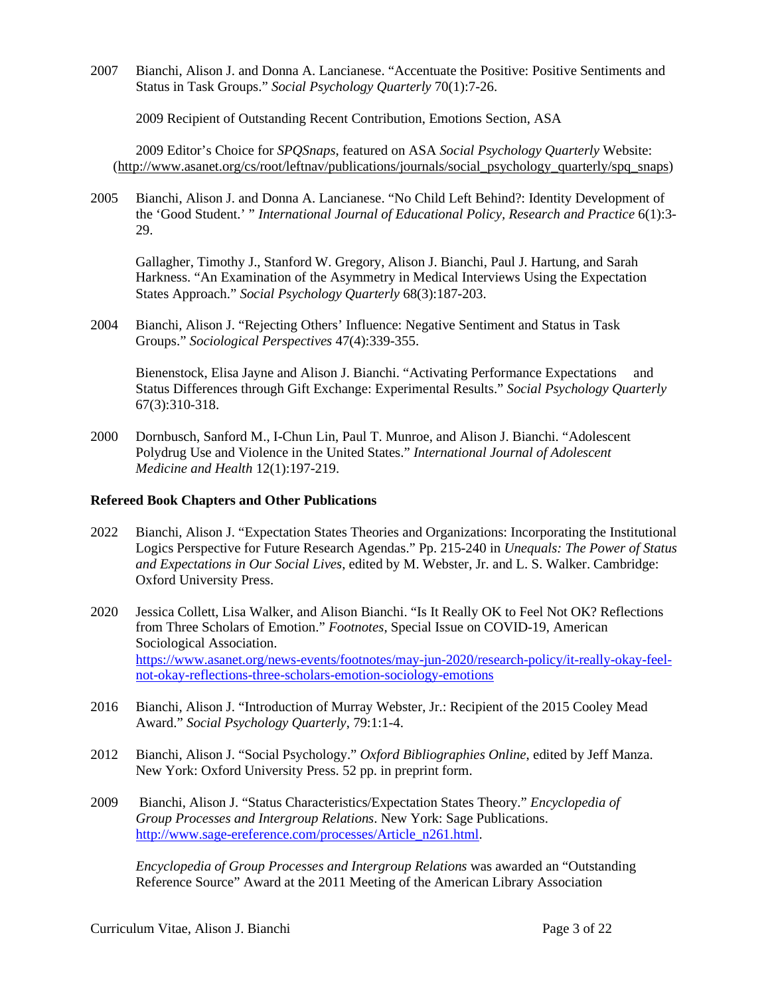2007 Bianchi, Alison J. and Donna A. Lancianese. "Accentuate the Positive: Positive Sentiments and Status in Task Groups." *Social Psychology Quarterly* 70(1):7-26.

2009 Recipient of Outstanding Recent Contribution, Emotions Section, ASA

2009 Editor's Choice for *SPQSnaps*, featured on ASA *Social Psychology Quarterly* Website: [\(http://www.asanet.org/cs/root/leftnav/publications/journals/social\\_psychology\\_quarterly/s](http://www.asanet.org/cs/root/leftnav/publications/journals/social_psychology_quarterly/)pq\_snaps)

2005 Bianchi, Alison J. and Donna A. Lancianese. "No Child Left Behind?: Identity Development of the 'Good Student.' " *International Journal of Educational Policy, Research and Practice* 6(1):3- 29.

Gallagher, Timothy J., Stanford W. Gregory, Alison J. Bianchi, Paul J. Hartung, and Sarah Harkness. "An Examination of the Asymmetry in Medical Interviews Using the Expectation States Approach." *Social Psychology Quarterly* 68(3):187-203.

2004 Bianchi, Alison J. "Rejecting Others' Influence: Negative Sentiment and Status in Task Groups." *Sociological Perspectives* 47(4):339-355.

Bienenstock, Elisa Jayne and Alison J. Bianchi. "Activating Performance Expectations and Status Differences through Gift Exchange: Experimental Results." *Social Psychology Quarterly* 67(3):310-318.

2000 Dornbusch, Sanford M., I-Chun Lin, Paul T. Munroe, and Alison J. Bianchi. "Adolescent Polydrug Use and Violence in the United States." *International Journal of Adolescent Medicine and Health* 12(1):197-219.

#### **Refereed Book Chapters and Other Publications**

- 2022 Bianchi, Alison J. "Expectation States Theories and Organizations: Incorporating the Institutional Logics Perspective for Future Research Agendas." Pp. 215-240 in *Unequals: The Power of Status and Expectations in Our Social Lives*, edited by M. Webster, Jr. and L. S. Walker. Cambridge: Oxford University Press.
- 2020 Jessica Collett, Lisa Walker, and Alison Bianchi. "Is It Really OK to Feel Not OK? Reflections from Three Scholars of Emotion." *Footnotes*, Special Issue on COVID-19, American Sociological Association. [https://www.asanet.org/news-events/footnotes/may-jun-2020/research-policy/it-really-okay-feel](https://www.asanet.org/news-events/footnotes/may-jun-2020/research-policy/it-really-okay-feel-not-okay-reflections-three-scholars-emotion-sociology-emotions)[not-okay-reflections-three-scholars-emotion-sociology-emotions](https://www.asanet.org/news-events/footnotes/may-jun-2020/research-policy/it-really-okay-feel-not-okay-reflections-three-scholars-emotion-sociology-emotions)
- 2016 Bianchi, Alison J. "Introduction of Murray Webster, Jr.: Recipient of the 2015 Cooley Mead Award." *Social Psychology Quarterly*, 79:1:1-4.
- 2012 Bianchi, Alison J. "Social Psychology." *Oxford Bibliographies Online*, edited by Jeff Manza. New York: Oxford University Press. 52 pp. in preprint form.
- 2009 Bianchi, Alison J. "Status Characteristics/Expectation States Theory." *Encyclopedia of Group Processes and Intergroup Relations*. New York: Sage Publications. [http://www.sage-ereference.com/processes/Article\\_n261.html.](http://www.sage-ereference.com/processes/Article_n261.html)

*Encyclopedia of Group Processes and Intergroup Relations* was awarded an "Outstanding Reference Source" Award at the 2011 Meeting of the American Library Association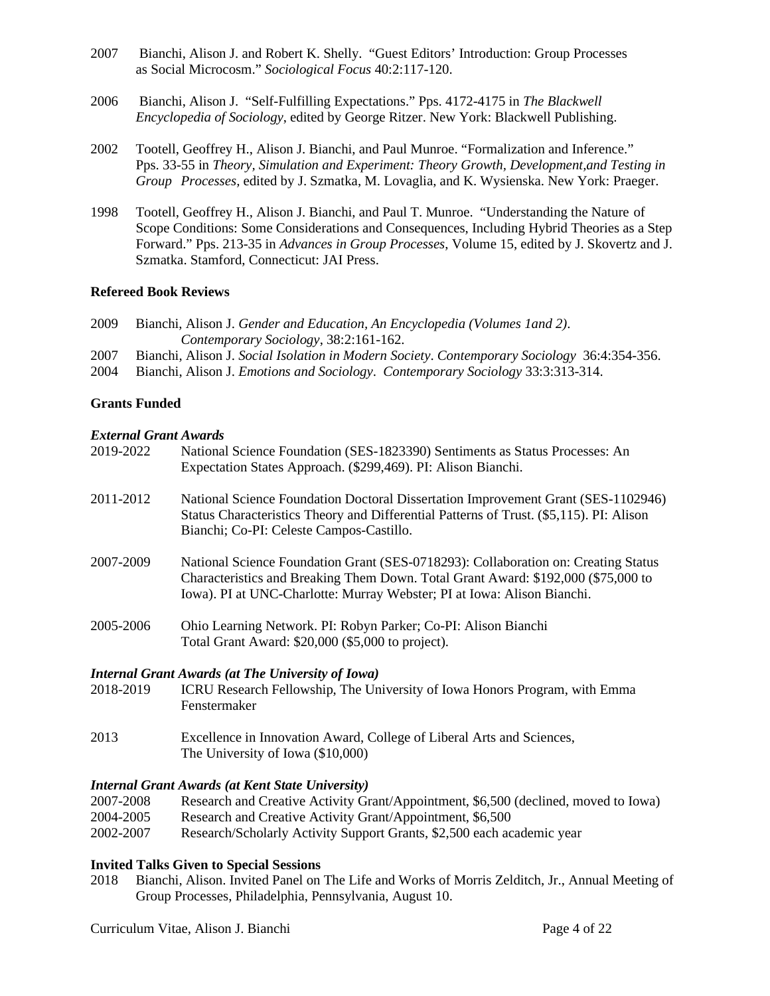- 2007 Bianchi, Alison J. and Robert K. Shelly. "Guest Editors' Introduction: Group Processes as Social Microcosm." *Sociological Focus* 40:2:117-120.
- 2006 Bianchi, Alison J. "Self-Fulfilling Expectations." Pps. 4172-4175 in *The Blackwell Encyclopedia of Sociology*, edited by George Ritzer. New York: Blackwell Publishing.
- 2002 Tootell, Geoffrey H., Alison J. Bianchi, and Paul Munroe. "Formalization and Inference." Pps. 33-55 in *Theory, Simulation and Experiment: Theory Growth, Development,and Testing in Group Processes,* edited by J. Szmatka, M. Lovaglia, and K. Wysienska. New York: Praeger.
- 1998 Tootell, Geoffrey H., Alison J. Bianchi, and Paul T. Munroe. "Understanding the Nature of Scope Conditions: Some Considerations and Consequences, Including Hybrid Theories as a Step Forward." Pps. 213-35 in *Advances in Group Processes*, Volume 15, edited by J. Skovertz and J. Szmatka. Stamford, Connecticut: JAI Press.

#### **Refereed Book Reviews**

- 2009 Bianchi, Alison J. *Gender and Education, An Encyclopedia (Volumes 1and 2)*. *Contemporary Sociology*, 38:2:161-162.
- 2007 Bianchi, Alison J. *Social Isolation in Modern Society*. *Contemporary Sociology* 36:4:354-356.
- 2004 Bianchi, Alison J. *Emotions and Sociology*. *Contemporary Sociology* 33:3:313-314.

# **Grants Funded**

#### *External Grant Awards*

| 2019-2022 | National Science Foundation (SES-1823390) Sentiments as Status Processes: An<br>Expectation States Approach. (\$299,469). PI: Alison Bianchi.                                                                                                      |
|-----------|----------------------------------------------------------------------------------------------------------------------------------------------------------------------------------------------------------------------------------------------------|
| 2011-2012 | National Science Foundation Doctoral Dissertation Improvement Grant (SES-1102946)<br>Status Characteristics Theory and Differential Patterns of Trust. (\$5,115). PI: Alison<br>Bianchi; Co-PI: Celeste Campos-Castillo.                           |
| 2007-2009 | National Science Foundation Grant (SES-0718293): Collaboration on: Creating Status<br>Characteristics and Breaking Them Down. Total Grant Award: \$192,000 (\$75,000 to<br>Iowa). PI at UNC-Charlotte: Murray Webster; PI at Iowa: Alison Bianchi. |
| 2005-2006 | Ohio Learning Network. PI: Robyn Parker; Co-PI: Alison Bianchi<br>Total Grant Award: \$20,000 (\$5,000 to project).                                                                                                                                |
|           | <b>Internal Grant Awards (at The University of Iowa)</b>                                                                                                                                                                                           |
| 2018-2019 | ICRU Research Fellowship, The University of Iowa Honors Program, with Emma<br>Fenstermaker                                                                                                                                                         |

- 2013 Excellence in Innovation Award, College of Liberal Arts and Sciences,
	- The University of Iowa (\$10,000)

#### *Internal Grant Awards (at Kent State University)*

| 2007-2008 | Research and Creative Activity Grant/Appointment, \$6,500 (declined, moved to Iowa) |
|-----------|-------------------------------------------------------------------------------------|
| 2004-2005 | Research and Creative Activity Grant/Appointment, \$6,500                           |

2002-2007 Research/Scholarly Activity Support Grants, \$2,500 each academic year

# **Invited Talks Given to Special Sessions**

2018 Bianchi, Alison. Invited Panel on The Life and Works of Morris Zelditch, Jr., Annual Meeting of Group Processes, Philadelphia, Pennsylvania, August 10.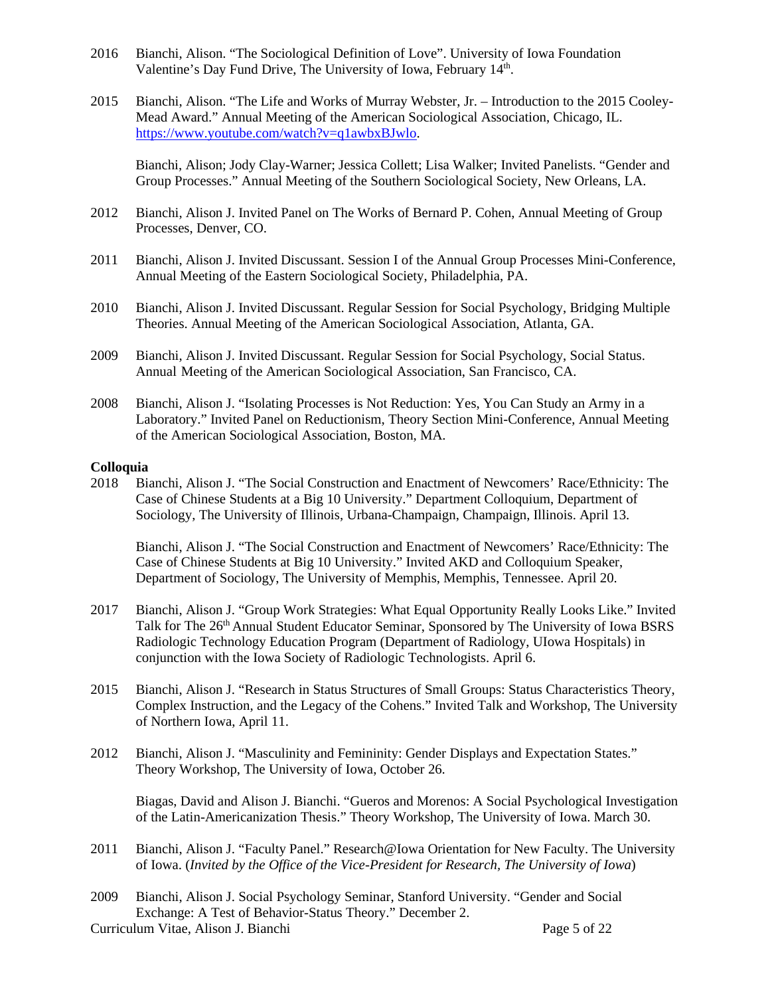- 2016 Bianchi, Alison. "The Sociological Definition of Love". University of Iowa Foundation Valentine's Day Fund Drive, The University of Iowa, February 14th.
- 2015 Bianchi, Alison. "The Life and Works of Murray Webster, Jr. Introduction to the 2015 Cooley-Mead Award." Annual Meeting of the American Sociological Association, Chicago, IL. [https://www.youtube.com/watch?v=q1awbxBJwlo.](https://www.youtube.com/watch?v=q1awbxBJwlo)

 Bianchi, Alison; Jody Clay-Warner; Jessica Collett; Lisa Walker; Invited Panelists. "Gender and Group Processes." Annual Meeting of the Southern Sociological Society, New Orleans, LA.

- 2012 Bianchi, Alison J. Invited Panel on The Works of Bernard P. Cohen, Annual Meeting of Group Processes, Denver, CO.
- 2011 Bianchi, Alison J. Invited Discussant. Session I of the Annual Group Processes Mini-Conference, Annual Meeting of the Eastern Sociological Society, Philadelphia, PA.
- 2010 Bianchi, Alison J. Invited Discussant. Regular Session for Social Psychology, Bridging Multiple Theories. Annual Meeting of the American Sociological Association, Atlanta, GA.
- 2009 Bianchi, Alison J. Invited Discussant. Regular Session for Social Psychology, Social Status. Annual Meeting of the American Sociological Association, San Francisco, CA.
- 2008 Bianchi, Alison J. "Isolating Processes is Not Reduction: Yes, You Can Study an Army in a Laboratory." Invited Panel on Reductionism, Theory Section Mini-Conference, Annual Meeting of the American Sociological Association, Boston, MA.

#### **Colloquia**

2018 Bianchi, Alison J. "The Social Construction and Enactment of Newcomers' Race/Ethnicity: The Case of Chinese Students at a Big 10 University." Department Colloquium, Department of Sociology, The University of Illinois, Urbana-Champaign, Champaign, Illinois. April 13.

Bianchi, Alison J. "The Social Construction and Enactment of Newcomers' Race/Ethnicity: The Case of Chinese Students at Big 10 University." Invited AKD and Colloquium Speaker, Department of Sociology, The University of Memphis, Memphis, Tennessee. April 20.

- 2017 Bianchi, Alison J. "Group Work Strategies: What Equal Opportunity Really Looks Like." Invited Talk for The 26<sup>th</sup> Annual Student Educator Seminar, Sponsored by The University of Iowa BSRS Radiologic Technology Education Program (Department of Radiology, UIowa Hospitals) in conjunction with the Iowa Society of Radiologic Technologists. April 6.
- 2015 Bianchi, Alison J. "Research in Status Structures of Small Groups: Status Characteristics Theory, Complex Instruction, and the Legacy of the Cohens." Invited Talk and Workshop, The University of Northern Iowa, April 11.
- 2012 Bianchi, Alison J. "Masculinity and Femininity: Gender Displays and Expectation States." Theory Workshop, The University of Iowa, October 26.

Biagas, David and Alison J. Bianchi. "Gueros and Morenos: A Social Psychological Investigation of the Latin-Americanization Thesis." Theory Workshop, The University of Iowa. March 30.

- 2011 Bianchi, Alison J. "Faculty Panel." Research@Iowa Orientation for New Faculty. The University of Iowa. (*Invited by the Office of the Vice-President for Research, The University of Iowa*)
- 2009 Bianchi, Alison J. Social Psychology Seminar, Stanford University. "Gender and Social Exchange: A Test of Behavior-Status Theory." December 2.

Curriculum Vitae, Alison J. Bianchi Page 5 of 22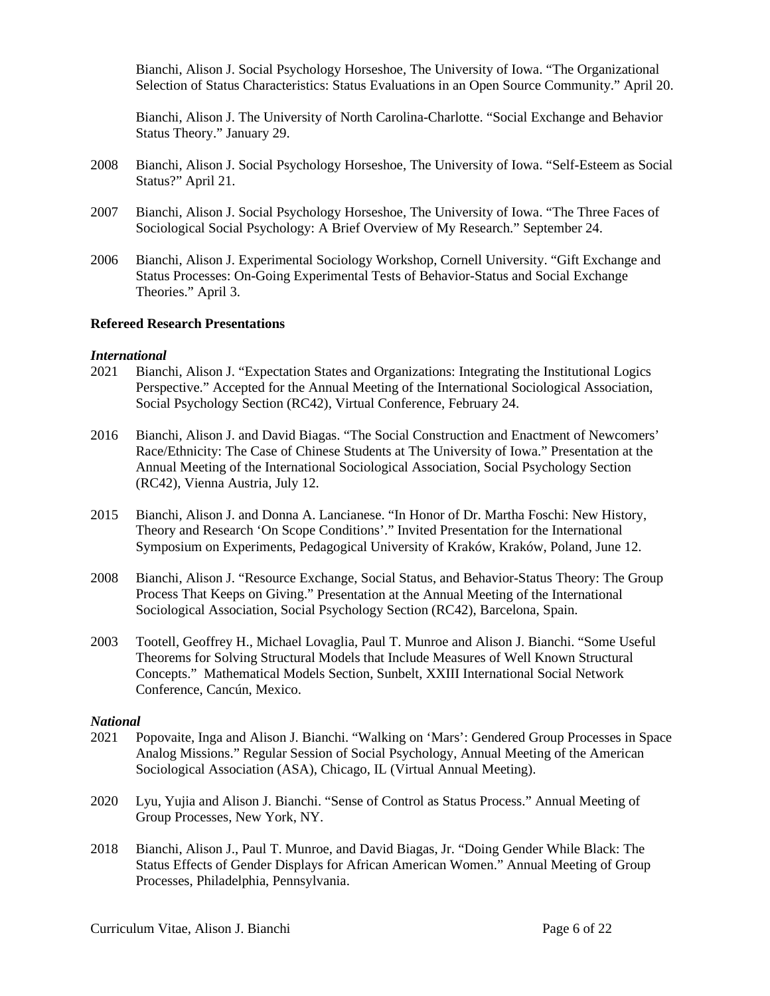Bianchi, Alison J. Social Psychology Horseshoe, The University of Iowa. "The Organizational Selection of Status Characteristics: Status Evaluations in an Open Source Community." April 20.

Bianchi, Alison J. The University of North Carolina-Charlotte. "Social Exchange and Behavior Status Theory." January 29.

- 2008 Bianchi, Alison J. Social Psychology Horseshoe, The University of Iowa. "Self-Esteem as Social Status?" April 21.
- 2007 Bianchi, Alison J. Social Psychology Horseshoe, The University of Iowa. "The Three Faces of Sociological Social Psychology: A Brief Overview of My Research." September 24.
- 2006 Bianchi, Alison J. Experimental Sociology Workshop, Cornell University. "Gift Exchange and Status Processes: On-Going Experimental Tests of Behavior-Status and Social Exchange Theories." April 3.

#### **Refereed Research Presentations**

#### *International*

- 2021 Bianchi, Alison J. "Expectation States and Organizations: Integrating the Institutional Logics Perspective." Accepted for the Annual Meeting of the International Sociological Association, Social Psychology Section (RC42), Virtual Conference, February 24.
- 2016 Bianchi, Alison J. and David Biagas. "The Social Construction and Enactment of Newcomers' Race/Ethnicity: The Case of Chinese Students at The University of Iowa." Presentation at the Annual Meeting of the International Sociological Association, Social Psychology Section (RC42), Vienna Austria, July 12.
- 2015 Bianchi, Alison J. and Donna A. Lancianese. "In Honor of Dr. Martha Foschi: New History, Theory and Research 'On Scope Conditions'." Invited Presentation for the International Symposium on Experiments, Pedagogical University of Kraków, Kraków, Poland, June 12.
- 2008 Bianchi, Alison J. "Resource Exchange, Social Status, and Behavior-Status Theory: The Group Process That Keeps on Giving." Presentation at the Annual Meeting of the International Sociological Association, Social Psychology Section (RC42), Barcelona, Spain.
- 2003 Tootell, Geoffrey H., Michael Lovaglia, Paul T. Munroe and Alison J. Bianchi. "Some Useful Theorems for Solving Structural Models that Include Measures of Well Known Structural Concepts." Mathematical Models Section, Sunbelt, XXIII International Social Network Conference, Cancún, Mexico.

#### *National*

- 2021 Popovaite, Inga and Alison J. Bianchi. "Walking on 'Mars': Gendered Group Processes in Space Analog Missions." Regular Session of Social Psychology, Annual Meeting of the American Sociological Association (ASA), Chicago, IL (Virtual Annual Meeting).
- 2020 Lyu, Yujia and Alison J. Bianchi. "Sense of Control as Status Process." Annual Meeting of Group Processes, New York, NY.
- 2018 Bianchi, Alison J., Paul T. Munroe, and David Biagas, Jr. "Doing Gender While Black: The Status Effects of Gender Displays for African American Women." Annual Meeting of Group Processes, Philadelphia, Pennsylvania.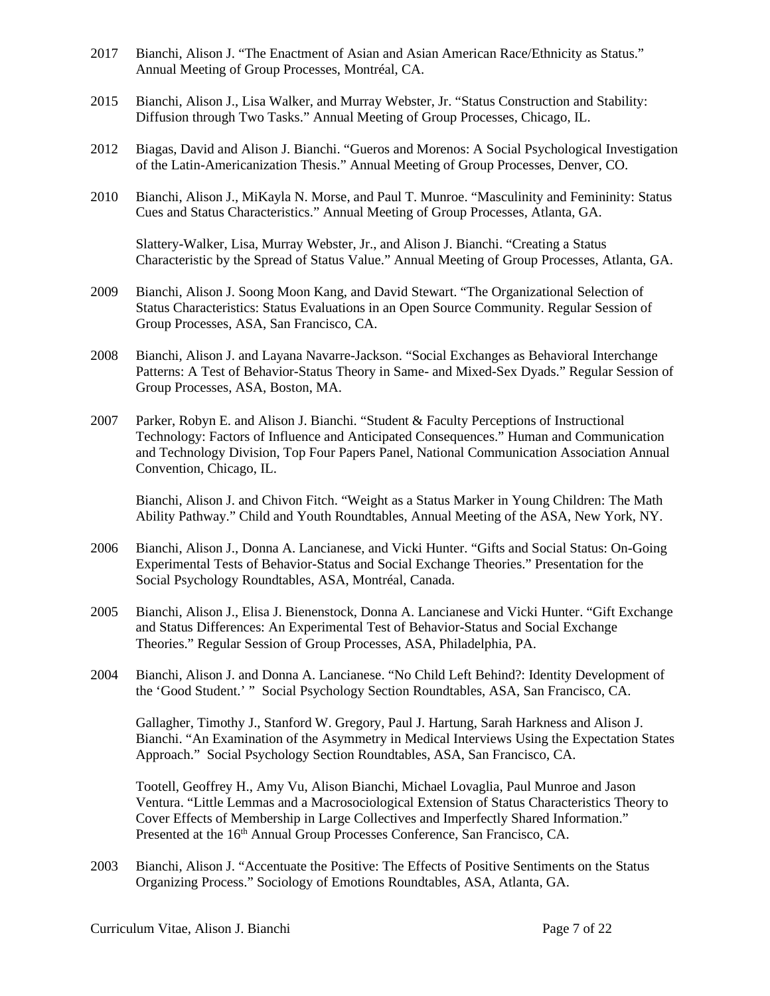- 2017 Bianchi, Alison J. "The Enactment of Asian and Asian American Race/Ethnicity as Status." Annual Meeting of Group Processes, Montréal, CA.
- 2015 Bianchi, Alison J., Lisa Walker, and Murray Webster, Jr. "Status Construction and Stability: Diffusion through Two Tasks." Annual Meeting of Group Processes, Chicago, IL.
- 2012 Biagas, David and Alison J. Bianchi. "Gueros and Morenos: A Social Psychological Investigation of the Latin-Americanization Thesis." Annual Meeting of Group Processes, Denver, CO.
- 2010 Bianchi, Alison J., MiKayla N. Morse, and Paul T. Munroe. "Masculinity and Femininity: Status Cues and Status Characteristics." Annual Meeting of Group Processes, Atlanta, GA.

Slattery-Walker, Lisa, Murray Webster, Jr., and Alison J. Bianchi. "Creating a Status Characteristic by the Spread of Status Value." Annual Meeting of Group Processes, Atlanta, GA.

- 2009 Bianchi, Alison J. Soong Moon Kang, and David Stewart. "The Organizational Selection of Status Characteristics: Status Evaluations in an Open Source Community. Regular Session of Group Processes, ASA, San Francisco, CA.
- 2008 Bianchi, Alison J. and Layana Navarre-Jackson. "Social Exchanges as Behavioral Interchange Patterns: A Test of Behavior-Status Theory in Same- and Mixed-Sex Dyads." Regular Session of Group Processes, ASA, Boston, MA.
- 2007 Parker, Robyn E. and Alison J. Bianchi. "Student & Faculty Perceptions of Instructional Technology: Factors of Influence and Anticipated Consequences." Human and Communication and Technology Division, Top Four Papers Panel, National Communication Association Annual Convention, Chicago, IL.

Bianchi, Alison J. and Chivon Fitch. "Weight as a Status Marker in Young Children: The Math Ability Pathway." Child and Youth Roundtables, Annual Meeting of the ASA, New York, NY.

- 2006 Bianchi, Alison J., Donna A. Lancianese, and Vicki Hunter. "Gifts and Social Status: On-Going Experimental Tests of Behavior-Status and Social Exchange Theories." Presentation for the Social Psychology Roundtables, ASA, Montréal, Canada.
- 2005 Bianchi, Alison J., Elisa J. Bienenstock, Donna A. Lancianese and Vicki Hunter. "Gift Exchange and Status Differences: An Experimental Test of Behavior-Status and Social Exchange Theories." Regular Session of Group Processes, ASA, Philadelphia, PA.
- 2004 Bianchi, Alison J. and Donna A. Lancianese. "No Child Left Behind?: Identity Development of the 'Good Student.' " Social Psychology Section Roundtables, ASA, San Francisco, CA.

Gallagher, Timothy J., Stanford W. Gregory, Paul J. Hartung, Sarah Harkness and Alison J. Bianchi. "An Examination of the Asymmetry in Medical Interviews Using the Expectation States Approach." Social Psychology Section Roundtables, ASA, San Francisco, CA.

Tootell, Geoffrey H., Amy Vu, Alison Bianchi, Michael Lovaglia, Paul Munroe and Jason Ventura. "Little Lemmas and a Macrosociological Extension of Status Characteristics Theory to Cover Effects of Membership in Large Collectives and Imperfectly Shared Information." Presented at the 16<sup>th</sup> Annual Group Processes Conference, San Francisco, CA.

2003 Bianchi, Alison J. "Accentuate the Positive: The Effects of Positive Sentiments on the Status Organizing Process." Sociology of Emotions Roundtables, ASA, Atlanta, GA.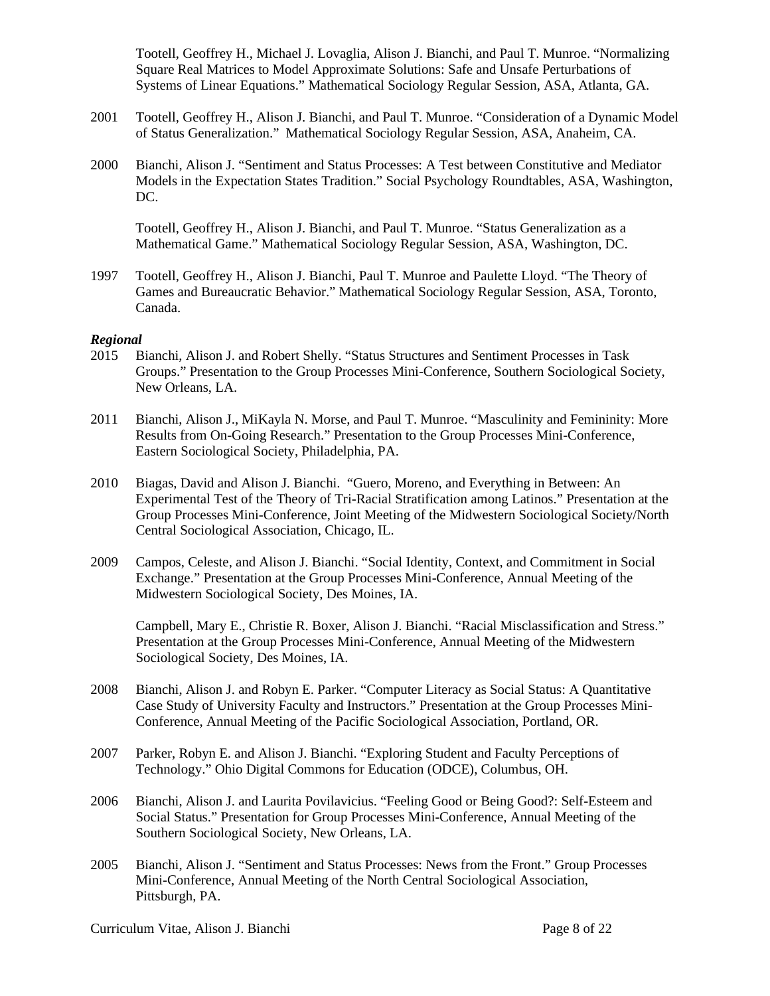Tootell, Geoffrey H., Michael J. Lovaglia, Alison J. Bianchi, and Paul T. Munroe. "Normalizing Square Real Matrices to Model Approximate Solutions: Safe and Unsafe Perturbations of Systems of Linear Equations." Mathematical Sociology Regular Session, ASA, Atlanta, GA.

- 2001 Tootell, Geoffrey H., Alison J. Bianchi, and Paul T. Munroe. "Consideration of a Dynamic Model of Status Generalization." Mathematical Sociology Regular Session, ASA, Anaheim, CA.
- 2000 Bianchi, Alison J. "Sentiment and Status Processes: A Test between Constitutive and Mediator Models in the Expectation States Tradition." Social Psychology Roundtables, ASA, Washington, DC.

Tootell, Geoffrey H., Alison J. Bianchi, and Paul T. Munroe. "Status Generalization as a Mathematical Game." Mathematical Sociology Regular Session, ASA, Washington, DC.

1997 Tootell, Geoffrey H., Alison J. Bianchi, Paul T. Munroe and Paulette Lloyd. "The Theory of Games and Bureaucratic Behavior." Mathematical Sociology Regular Session, ASA, Toronto, Canada.

#### *Regional*

- 2015 Bianchi, Alison J. and Robert Shelly. "Status Structures and Sentiment Processes in Task Groups." Presentation to the Group Processes Mini-Conference, Southern Sociological Society, New Orleans, LA.
- 2011 Bianchi, Alison J., MiKayla N. Morse, and Paul T. Munroe. "Masculinity and Femininity: More Results from On-Going Research." Presentation to the Group Processes Mini-Conference, Eastern Sociological Society, Philadelphia, PA.
- 2010 Biagas, David and Alison J. Bianchi. "Guero, Moreno, and Everything in Between: An Experimental Test of the Theory of Tri-Racial Stratification among Latinos." Presentation at the Group Processes Mini-Conference, Joint Meeting of the Midwestern Sociological Society/North Central Sociological Association, Chicago, IL.
- 2009 Campos, Celeste, and Alison J. Bianchi. "Social Identity, Context, and Commitment in Social Exchange." Presentation at the Group Processes Mini-Conference, Annual Meeting of the Midwestern Sociological Society, Des Moines, IA.

Campbell, Mary E., Christie R. Boxer, Alison J. Bianchi. "Racial Misclassification and Stress." Presentation at the Group Processes Mini-Conference, Annual Meeting of the Midwestern Sociological Society, Des Moines, IA.

- 2008 Bianchi, Alison J. and Robyn E. Parker. "Computer Literacy as Social Status: A Quantitative Case Study of University Faculty and Instructors." Presentation at the Group Processes Mini-Conference, Annual Meeting of the Pacific Sociological Association, Portland, OR.
- 2007 Parker, Robyn E. and Alison J. Bianchi. "Exploring Student and Faculty Perceptions of Technology." Ohio Digital Commons for Education (ODCE), Columbus, OH.
- 2006 Bianchi, Alison J. and Laurita Povilavicius. "Feeling Good or Being Good?: Self-Esteem and Social Status." Presentation for Group Processes Mini-Conference, Annual Meeting of the Southern Sociological Society, New Orleans, LA.
- 2005 Bianchi, Alison J. "Sentiment and Status Processes: News from the Front." Group Processes Mini-Conference, Annual Meeting of the North Central Sociological Association, Pittsburgh, PA.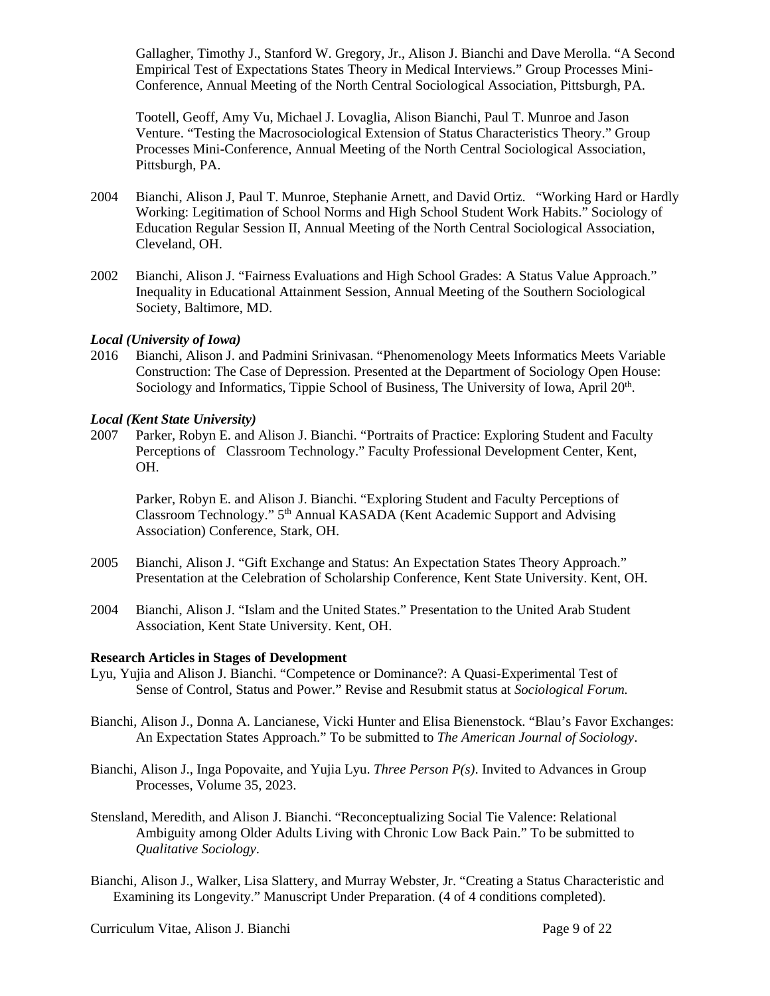Gallagher, Timothy J., Stanford W. Gregory, Jr., Alison J. Bianchi and Dave Merolla. "A Second Empirical Test of Expectations States Theory in Medical Interviews." Group Processes Mini-Conference, Annual Meeting of the North Central Sociological Association, Pittsburgh, PA.

Tootell, Geoff, Amy Vu, Michael J. Lovaglia, Alison Bianchi, Paul T. Munroe and Jason Venture. "Testing the Macrosociological Extension of Status Characteristics Theory." Group Processes Mini-Conference, Annual Meeting of the North Central Sociological Association, Pittsburgh, PA.

- 2004 Bianchi, Alison J, Paul T. Munroe, Stephanie Arnett, and David Ortiz. "Working Hard or Hardly Working: Legitimation of School Norms and High School Student Work Habits." Sociology of Education Regular Session II, Annual Meeting of the North Central Sociological Association, Cleveland, OH.
- 2002 Bianchi, Alison J. "Fairness Evaluations and High School Grades: A Status Value Approach." Inequality in Educational Attainment Session, Annual Meeting of the Southern Sociological Society, Baltimore, MD.

#### *Local (University of Iowa)*

2016 Bianchi, Alison J. and Padmini Srinivasan. "Phenomenology Meets Informatics Meets Variable Construction: The Case of Depression. Presented at the Department of Sociology Open House: Sociology and Informatics, Tippie School of Business, The University of Iowa, April 20<sup>th</sup>.

#### *Local (Kent State University)*

2007 Parker, Robyn E. and Alison J. Bianchi. "Portraits of Practice: Exploring Student and Faculty Perceptions of Classroom Technology." Faculty Professional Development Center, Kent, OH.

Parker, Robyn E. and Alison J. Bianchi. "Exploring Student and Faculty Perceptions of Classroom Technology." 5th Annual KASADA (Kent Academic Support and Advising Association) Conference, Stark, OH.

- 2005 Bianchi, Alison J. "Gift Exchange and Status: An Expectation States Theory Approach." Presentation at the Celebration of Scholarship Conference, Kent State University. Kent, OH.
- 2004 Bianchi, Alison J. "Islam and the United States." Presentation to the United Arab Student Association, Kent State University. Kent, OH.

#### **Research Articles in Stages of Development**

- Lyu, Yujia and Alison J. Bianchi. "Competence or Dominance?: A Quasi-Experimental Test of Sense of Control, Status and Power." Revise and Resubmit status at *Sociological Forum.*
- Bianchi, Alison J., Donna A. Lancianese, Vicki Hunter and Elisa Bienenstock. "Blau's Favor Exchanges: An Expectation States Approach." To be submitted to *The American Journal of Sociology*.
- Bianchi, Alison J., Inga Popovaite, and Yujia Lyu. *Three Person P(s)*. Invited to Advances in Group Processes, Volume 35, 2023.
- Stensland, Meredith, and Alison J. Bianchi. "Reconceptualizing Social Tie Valence: Relational Ambiguity among Older Adults Living with Chronic Low Back Pain." To be submitted to *Qualitative Sociology*.
- Bianchi, Alison J., Walker, Lisa Slattery, and Murray Webster, Jr. "Creating a Status Characteristic and Examining its Longevity." Manuscript Under Preparation. (4 of 4 conditions completed).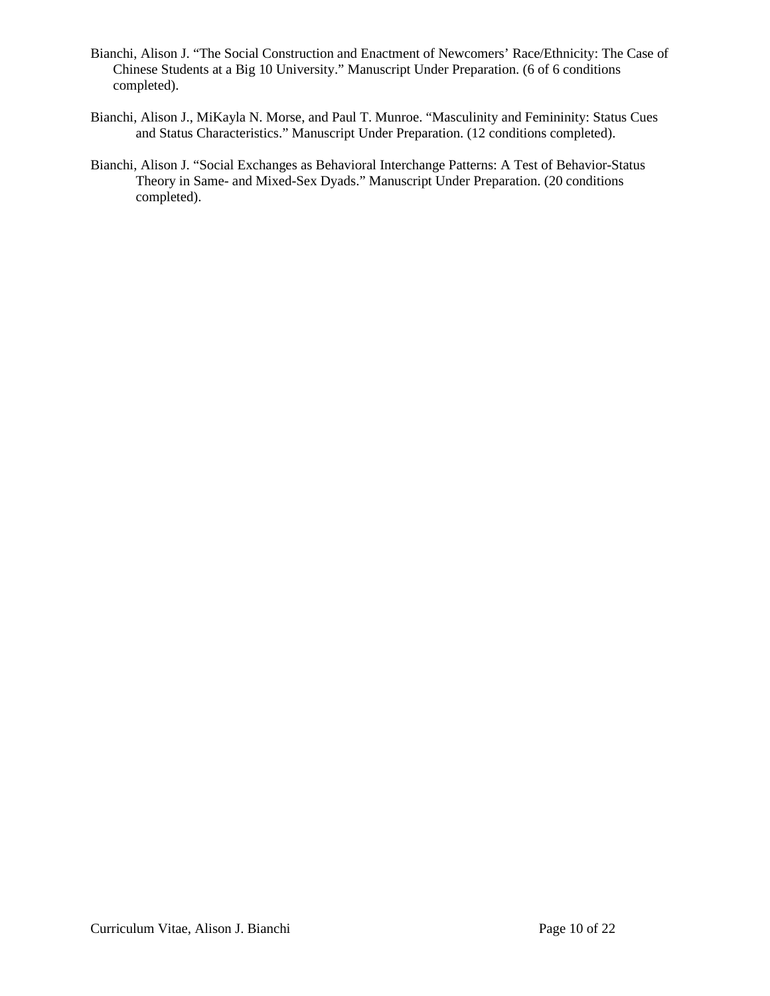- Bianchi, Alison J. "The Social Construction and Enactment of Newcomers' Race/Ethnicity: The Case of Chinese Students at a Big 10 University." Manuscript Under Preparation. (6 of 6 conditions completed).
- Bianchi, Alison J., MiKayla N. Morse, and Paul T. Munroe. "Masculinity and Femininity: Status Cues and Status Characteristics." Manuscript Under Preparation. (12 conditions completed).
- Bianchi, Alison J. "Social Exchanges as Behavioral Interchange Patterns: A Test of Behavior-Status Theory in Same- and Mixed-Sex Dyads." Manuscript Under Preparation. (20 conditions completed).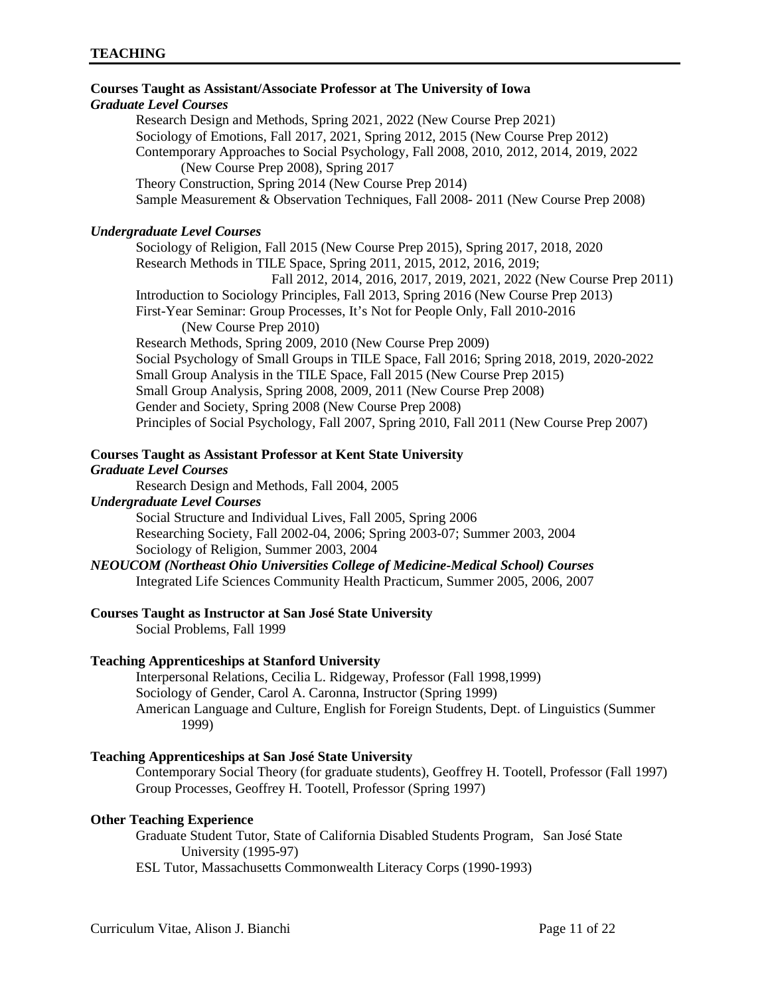# **Courses Taught as Assistant/Associate Professor at The University of Iowa** *Graduate Level Courses* Research Design and Methods, Spring 2021, 2022 (New Course Prep 2021) Sociology of Emotions, Fall 2017, 2021, Spring 2012, 2015 (New Course Prep 2012) Contemporary Approaches to Social Psychology, Fall 2008, 2010, 2012, 2014, 2019, 2022 (New Course Prep 2008), Spring 2017 Theory Construction, Spring 2014 (New Course Prep 2014) Sample Measurement & Observation Techniques, Fall 2008- 2011 (New Course Prep 2008) *Undergraduate Level Courses* Sociology of Religion, Fall 2015 (New Course Prep 2015), Spring 2017, 2018, 2020 Research Methods in TILE Space, Spring 2011, 2015, 2012, 2016, 2019; Fall 2012, 2014, 2016, 2017, 2019, 2021, 2022 (New Course Prep 2011) Introduction to Sociology Principles, Fall 2013, Spring 2016 (New Course Prep 2013) First-Year Seminar: Group Processes, It's Not for People Only, Fall 2010-2016 (New Course Prep 2010) Research Methods, Spring 2009, 2010 (New Course Prep 2009) Social Psychology of Small Groups in TILE Space, Fall 2016; Spring 2018, 2019, 2020-2022 Small Group Analysis in the TILE Space, Fall 2015 (New Course Prep 2015) Small Group Analysis, Spring 2008, 2009, 2011 (New Course Prep 2008) Gender and Society, Spring 2008 (New Course Prep 2008) Principles of Social Psychology, Fall 2007, Spring 2010, Fall 2011 (New Course Prep 2007)

# **Courses Taught as Assistant Professor at Kent State University**

# *Graduate Level Courses*

Research Design and Methods, Fall 2004, 2005

## *Undergraduate Level Courses*

Social Structure and Individual Lives, Fall 2005, Spring 2006 Researching Society, Fall 2002-04, 2006; Spring 2003-07; Summer 2003, 2004 Sociology of Religion, Summer 2003, 2004

*NEOUCOM (Northeast Ohio Universities College of Medicine-Medical School) Courses* Integrated Life Sciences Community Health Practicum, Summer 2005, 2006, 2007

# **Courses Taught as Instructor at San José State University**

Social Problems, Fall 1999

# **Teaching Apprenticeships at Stanford University**

Interpersonal Relations, Cecilia L. Ridgeway, Professor (Fall 1998,1999) Sociology of Gender, Carol A. Caronna, Instructor (Spring 1999) American Language and Culture, English for Foreign Students, Dept. of Linguistics (Summer 1999)

# **Teaching Apprenticeships at San José State University**

Contemporary Social Theory (for graduate students), Geoffrey H. Tootell, Professor (Fall 1997) Group Processes, Geoffrey H. Tootell, Professor (Spring 1997)

# **Other Teaching Experience**

Graduate Student Tutor, State of California Disabled Students Program, San José State University (1995-97)

ESL Tutor, Massachusetts Commonwealth Literacy Corps (1990-1993)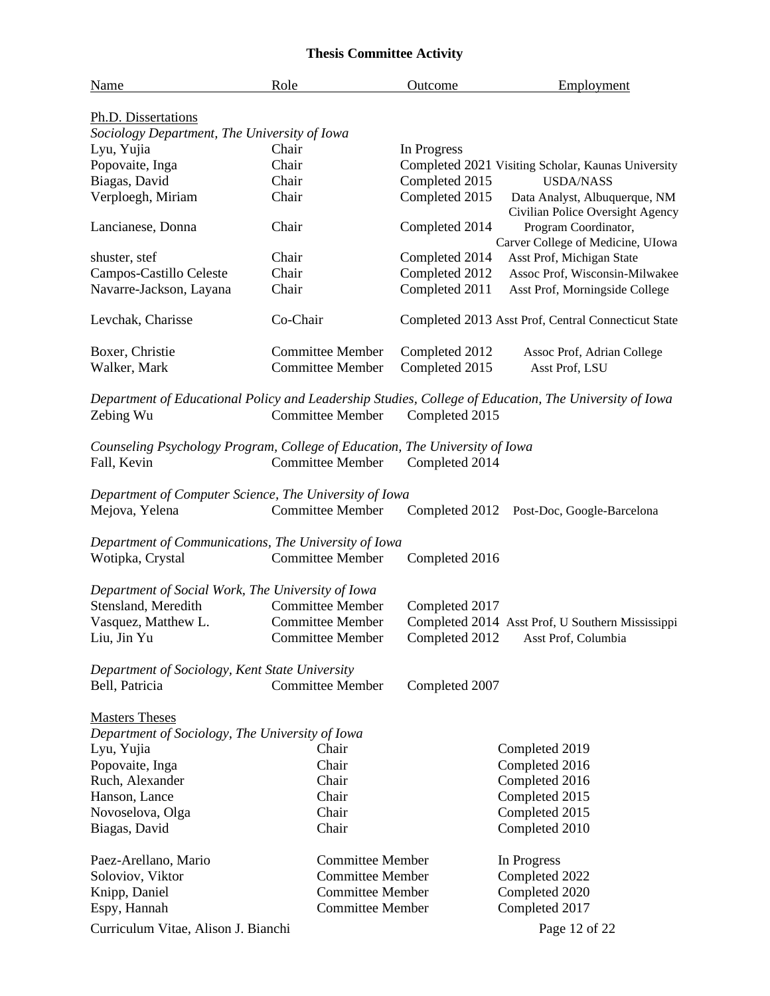# **Thesis Committee Activity**

| <b>Name</b>                                                                                | Role                                               | Outcome        | Employment                                                                                            |  |
|--------------------------------------------------------------------------------------------|----------------------------------------------------|----------------|-------------------------------------------------------------------------------------------------------|--|
| Ph.D. Dissertations                                                                        |                                                    |                |                                                                                                       |  |
| Sociology Department, The University of Iowa                                               |                                                    |                |                                                                                                       |  |
| Lyu, Yujia                                                                                 | Chair                                              | In Progress    |                                                                                                       |  |
| Popovaite, Inga                                                                            | Chair                                              |                | Completed 2021 Visiting Scholar, Kaunas University                                                    |  |
| Biagas, David                                                                              | Chair                                              | Completed 2015 | <b>USDA/NASS</b>                                                                                      |  |
| Verploegh, Miriam                                                                          | Chair                                              | Completed 2015 | Data Analyst, Albuquerque, NM<br>Civilian Police Oversight Agency                                     |  |
| Lancianese, Donna                                                                          | Chair                                              | Completed 2014 | Program Coordinator,<br>Carver College of Medicine, UIowa                                             |  |
| shuster, stef                                                                              | Chair                                              | Completed 2014 | Asst Prof, Michigan State                                                                             |  |
| Campos-Castillo Celeste                                                                    | Chair                                              | Completed 2012 | Assoc Prof, Wisconsin-Milwakee                                                                        |  |
| Navarre-Jackson, Layana                                                                    | Chair                                              | Completed 2011 | Asst Prof, Morningside College                                                                        |  |
| Levchak, Charisse                                                                          | Co-Chair                                           |                | Completed 2013 Asst Prof, Central Connecticut State                                                   |  |
| Boxer, Christie                                                                            | <b>Committee Member</b>                            | Completed 2012 | Assoc Prof, Adrian College                                                                            |  |
| Walker, Mark                                                                               | <b>Committee Member</b>                            | Completed 2015 | Asst Prof, LSU                                                                                        |  |
| Zebing Wu                                                                                  | <b>Committee Member</b>                            | Completed 2015 | Department of Educational Policy and Leadership Studies, College of Education, The University of Iowa |  |
| Counseling Psychology Program, College of Education, The University of Iowa<br>Fall, Kevin | <b>Committee Member</b>                            | Completed 2014 |                                                                                                       |  |
| Department of Computer Science, The University of Iowa                                     |                                                    |                |                                                                                                       |  |
| Mejova, Yelena                                                                             | <b>Committee Member</b>                            | Completed 2012 | Post-Doc, Google-Barcelona                                                                            |  |
| Department of Communications, The University of Iowa<br>Wotipka, Crystal                   | <b>Committee Member</b>                            | Completed 2016 |                                                                                                       |  |
| Department of Social Work, The University of Iowa                                          |                                                    |                |                                                                                                       |  |
| Stensland, Meredith                                                                        | <b>Committee Member</b>                            | Completed 2017 |                                                                                                       |  |
| Vasquez, Matthew L.                                                                        | <b>Committee Member</b>                            |                | Completed 2014 Asst Prof, U Southern Mississippi                                                      |  |
| Liu, Jin Yu                                                                                | <b>Committee Member</b>                            |                | Completed 2012 Asst Prof, Columbia                                                                    |  |
| Department of Sociology, Kent State University                                             |                                                    |                |                                                                                                       |  |
| <b>Committee Member</b><br>Bell, Patricia<br>Completed 2007                                |                                                    |                |                                                                                                       |  |
| <b>Masters Theses</b>                                                                      |                                                    |                |                                                                                                       |  |
| Department of Sociology, The University of Iowa                                            |                                                    |                |                                                                                                       |  |
| Lyu, Yujia                                                                                 | Chair                                              |                | Completed 2019                                                                                        |  |
| Popovaite, Inga                                                                            | Chair                                              |                | Completed 2016                                                                                        |  |
| Ruch, Alexander                                                                            | Chair                                              |                | Completed 2016                                                                                        |  |
| Hanson, Lance                                                                              | Chair                                              |                | Completed 2015                                                                                        |  |
| Novoselova, Olga                                                                           | Chair                                              |                | Completed 2015                                                                                        |  |
| Biagas, David                                                                              | Chair                                              |                | Completed 2010                                                                                        |  |
| Paez-Arellano, Mario                                                                       | <b>Committee Member</b>                            |                |                                                                                                       |  |
|                                                                                            | <b>Committee Member</b>                            |                | In Progress<br>Completed 2022                                                                         |  |
| Soloviov, Viktor                                                                           |                                                    |                |                                                                                                       |  |
| Knipp, Daniel                                                                              | <b>Committee Member</b><br><b>Committee Member</b> |                | Completed 2020<br>Completed 2017                                                                      |  |
| Espy, Hannah                                                                               |                                                    |                |                                                                                                       |  |
| Curriculum Vitae, Alison J. Bianchi                                                        |                                                    |                | Page 12 of 22                                                                                         |  |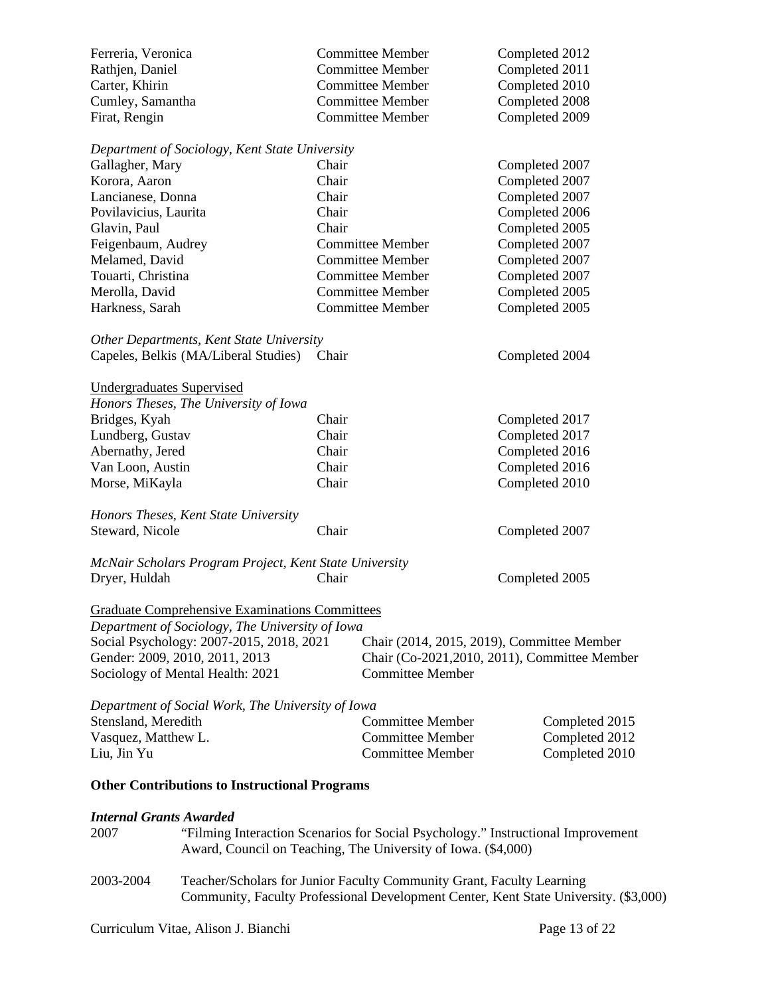| Ferreria, Veronica<br>Rathjen, Daniel |                                                                                  |                         | <b>Committee Member</b><br><b>Committee Member</b>                    | Completed 2012<br>Completed 2011                                                     |  |
|---------------------------------------|----------------------------------------------------------------------------------|-------------------------|-----------------------------------------------------------------------|--------------------------------------------------------------------------------------|--|
| Carter, Khirin                        |                                                                                  |                         | <b>Committee Member</b>                                               | Completed 2010                                                                       |  |
| Cumley, Samantha                      |                                                                                  |                         | <b>Committee Member</b>                                               | Completed 2008                                                                       |  |
| Firat, Rengin                         |                                                                                  |                         | <b>Committee Member</b>                                               | Completed 2009                                                                       |  |
|                                       | Department of Sociology, Kent State University                                   |                         |                                                                       |                                                                                      |  |
| Gallagher, Mary                       |                                                                                  | Chair                   |                                                                       | Completed 2007                                                                       |  |
| Korora, Aaron                         |                                                                                  | Chair                   |                                                                       | Completed 2007                                                                       |  |
| Lancianese, Donna                     |                                                                                  | Chair                   |                                                                       | Completed 2007                                                                       |  |
| Povilavicius, Laurita                 |                                                                                  | Chair                   |                                                                       | Completed 2006                                                                       |  |
| Glavin, Paul                          |                                                                                  | Chair                   |                                                                       | Completed 2005                                                                       |  |
| Feigenbaum, Audrey                    |                                                                                  |                         | <b>Committee Member</b>                                               | Completed 2007                                                                       |  |
| Melamed, David                        |                                                                                  | <b>Committee Member</b> |                                                                       | Completed 2007                                                                       |  |
| Touarti, Christina                    |                                                                                  | <b>Committee Member</b> |                                                                       | Completed 2007                                                                       |  |
| Merolla, David                        |                                                                                  |                         | <b>Committee Member</b>                                               | Completed 2005                                                                       |  |
| Harkness, Sarah                       |                                                                                  |                         | <b>Committee Member</b>                                               | Completed 2005                                                                       |  |
|                                       | Other Departments, Kent State University                                         |                         |                                                                       |                                                                                      |  |
|                                       | Capeles, Belkis (MA/Liberal Studies)                                             | Chair                   |                                                                       | Completed 2004                                                                       |  |
| <b>Undergraduates Supervised</b>      |                                                                                  |                         |                                                                       |                                                                                      |  |
|                                       | Honors Theses, The University of Iowa                                            |                         |                                                                       |                                                                                      |  |
| Bridges, Kyah                         |                                                                                  | Chair                   |                                                                       | Completed 2017                                                                       |  |
| Lundberg, Gustav                      |                                                                                  | Chair                   |                                                                       | Completed 2017                                                                       |  |
| Abernathy, Jered                      |                                                                                  | Chair                   |                                                                       | Completed 2016                                                                       |  |
| Van Loon, Austin                      |                                                                                  | Chair                   |                                                                       | Completed 2016                                                                       |  |
| Morse, MiKayla                        |                                                                                  | Chair                   |                                                                       | Completed 2010                                                                       |  |
|                                       | Honors Theses, Kent State University                                             |                         |                                                                       |                                                                                      |  |
| Steward, Nicole                       |                                                                                  | Chair                   |                                                                       | Completed 2007                                                                       |  |
|                                       | McNair Scholars Program Project, Kent State University                           |                         |                                                                       |                                                                                      |  |
| Dryer, Huldah                         |                                                                                  | Chair                   |                                                                       | Completed 2005                                                                       |  |
|                                       | <b>Graduate Comprehensive Examinations Committees</b>                            |                         |                                                                       |                                                                                      |  |
|                                       | Department of Sociology, The University of Iowa                                  |                         |                                                                       |                                                                                      |  |
|                                       | Social Psychology: 2007-2015, 2018, 2021                                         |                         | Chair (2014, 2015, 2019), Committee Member                            |                                                                                      |  |
| Gender: 2009, 2010, 2011, 2013        |                                                                                  |                         |                                                                       | Chair (Co-2021, 2010, 2011), Committee Member                                        |  |
| Sociology of Mental Health: 2021      |                                                                                  |                         | <b>Committee Member</b>                                               |                                                                                      |  |
|                                       | Department of Social Work, The University of Iowa                                |                         |                                                                       |                                                                                      |  |
| Stensland, Meredith                   |                                                                                  |                         | <b>Committee Member</b>                                               | Completed 2015                                                                       |  |
| Vasquez, Matthew L.                   |                                                                                  |                         | <b>Committee Member</b>                                               | Completed 2012                                                                       |  |
| Liu, Jin Yu                           |                                                                                  |                         | <b>Committee Member</b>                                               | Completed 2010                                                                       |  |
|                                       | <b>Other Contributions to Instructional Programs</b>                             |                         |                                                                       |                                                                                      |  |
| <b>Internal Grants Awarded</b>        |                                                                                  |                         |                                                                       |                                                                                      |  |
| 2007                                  | "Filming Interaction Scenarios for Social Psychology." Instructional Improvement |                         |                                                                       |                                                                                      |  |
|                                       |                                                                                  |                         | Award, Council on Teaching, The University of Iowa. (\$4,000)         |                                                                                      |  |
| 2003-2004                             |                                                                                  |                         | Teacher/Scholars for Junior Faculty Community Grant, Faculty Learning |                                                                                      |  |
|                                       |                                                                                  |                         |                                                                       | Community, Faculty Professional Development Center, Kent State University. (\$3,000) |  |
|                                       |                                                                                  |                         |                                                                       |                                                                                      |  |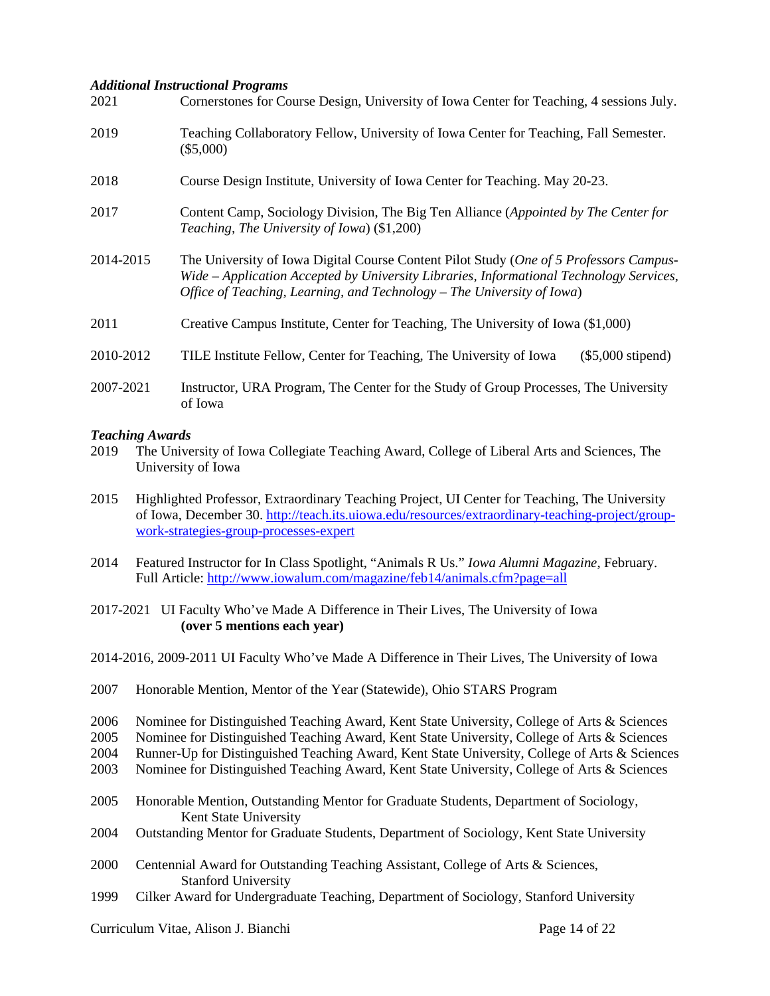#### *Additional Instructional Programs*

| 2021      | Cornerstones for Course Design, University of Iowa Center for Teaching, 4 sessions July.                                                                                                                                                                    |  |  |  |
|-----------|-------------------------------------------------------------------------------------------------------------------------------------------------------------------------------------------------------------------------------------------------------------|--|--|--|
| 2019      | Teaching Collaboratory Fellow, University of Iowa Center for Teaching, Fall Semester.<br>$(\$5,000)$                                                                                                                                                        |  |  |  |
| 2018      | Course Design Institute, University of Iowa Center for Teaching. May 20-23.                                                                                                                                                                                 |  |  |  |
| 2017      | Content Camp, Sociology Division, The Big Ten Alliance (Appointed by The Center for<br>Teaching, The University of Iowa) (\$1,200)                                                                                                                          |  |  |  |
| 2014-2015 | The University of Iowa Digital Course Content Pilot Study (One of 5 Professors Campus-<br>Wide – Application Accepted by University Libraries, Informational Technology Services,<br>Office of Teaching, Learning, and Technology - The University of Iowa) |  |  |  |
| 2011      | Creative Campus Institute, Center for Teaching, The University of Iowa (\$1,000)                                                                                                                                                                            |  |  |  |
| 2010-2012 | TILE Institute Fellow, Center for Teaching, The University of Iowa<br>$(\$5,000$ stipend)                                                                                                                                                                   |  |  |  |
| 2007-2021 | Instructor, URA Program, The Center for the Study of Group Processes, The University<br>of Iowa                                                                                                                                                             |  |  |  |

#### *Teaching Awards*

- 2019 The University of Iowa Collegiate Teaching Award, College of Liberal Arts and Sciences, The University of Iowa
- 2015 Highlighted Professor, Extraordinary Teaching Project, UI Center for Teaching, The University of Iowa, December 30. [http://teach.its.uiowa.edu/resources/extraordinary-teaching-project/group](http://teach.its.uiowa.edu/resources/extraordinary-teaching-project/group-work-strategies-group-processes-expert)[work-strategies-group-processes-expert](http://teach.its.uiowa.edu/resources/extraordinary-teaching-project/group-work-strategies-group-processes-expert)
- 2014 Featured Instructor for In Class Spotlight, "Animals R Us." *Iowa Alumni Magazine*, February. Full Article:<http://www.iowalum.com/magazine/feb14/animals.cfm?page=all>

2017-2021 UI Faculty Who've Made A Difference in Their Lives, The University of Iowa **(over 5 mentions each year)**

- 2014-2016, 2009-2011 UI Faculty Who've Made A Difference in Their Lives, The University of Iowa
- 2007 Honorable Mention, Mentor of the Year (Statewide), Ohio STARS Program
- 2006 Nominee for Distinguished Teaching Award, Kent State University, College of Arts & Sciences
- 2005 Nominee for Distinguished Teaching Award, Kent State University, College of Arts & Sciences
- 2004 Runner-Up for Distinguished Teaching Award, Kent State University, College of Arts & Sciences
- 2003 Nominee for Distinguished Teaching Award, Kent State University, College of Arts & Sciences
- 2005 Honorable Mention, Outstanding Mentor for Graduate Students, Department of Sociology, Kent State University
- 2004 Outstanding Mentor for Graduate Students, Department of Sociology, Kent State University
- 2000 Centennial Award for Outstanding Teaching Assistant, College of Arts & Sciences, Stanford University
- 1999 Cilker Award for Undergraduate Teaching, Department of Sociology, Stanford University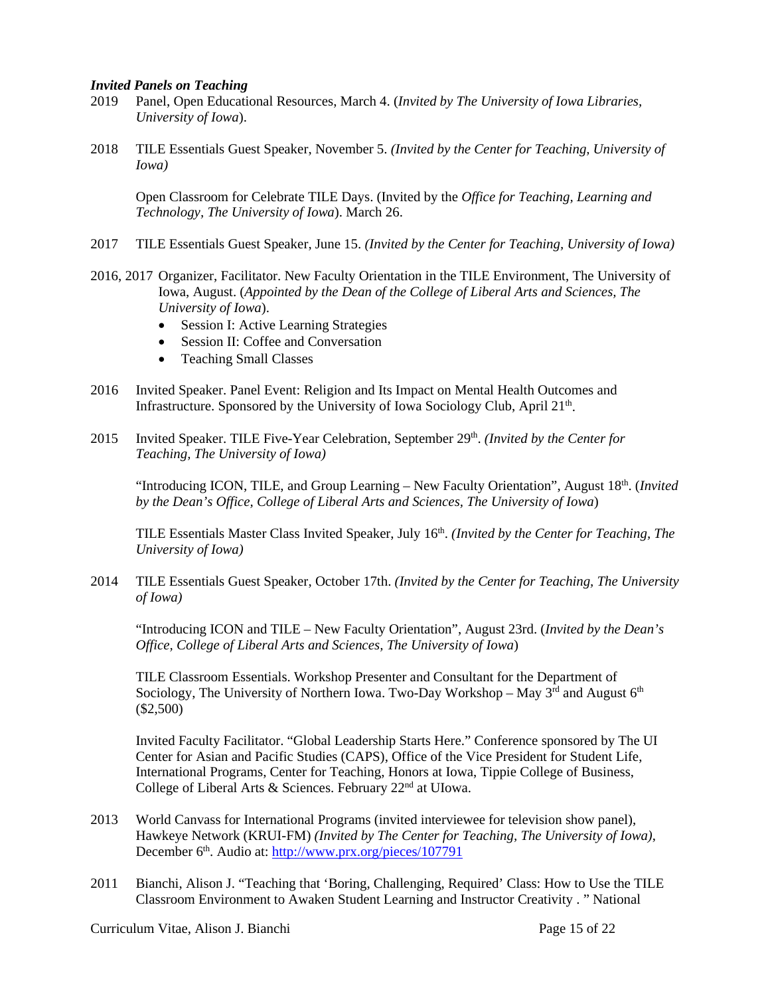#### *Invited Panels on Teaching*

- 2019 Panel, Open Educational Resources, March 4. (*Invited by The University of Iowa Libraries, University of Iowa*).
- 2018 TILE Essentials Guest Speaker, November 5. *(Invited by the Center for Teaching, University of Iowa)*

Open Classroom for Celebrate TILE Days. (Invited by the *Office for Teaching, Learning and Technology, The University of Iowa*). March 26.

- 2017 TILE Essentials Guest Speaker, June 15. *(Invited by the Center for Teaching, University of Iowa)*
- 2016, 2017 Organizer, Facilitator. New Faculty Orientation in the TILE Environment, The University of Iowa, August. (*Appointed by the Dean of the College of Liberal Arts and Sciences, The University of Iowa*).
	- Session I: Active Learning Strategies
	- Session II: Coffee and Conversation
	- Teaching Small Classes
- 2016 Invited Speaker. Panel Event: Religion and Its Impact on Mental Health Outcomes and Infrastructure. Sponsored by the University of Iowa Sociology Club, April  $21<sup>th</sup>$ .
- 2015 Invited Speaker. TILE Five-Year Celebration, September 29<sup>th</sup>. *(Invited by the Center for Teaching, The University of Iowa)*

"Introducing ICON, TILE, and Group Learning – New Faculty Orientation", August 18<sup>th</sup>. (*Invited by the Dean's Office, College of Liberal Arts and Sciences, The University of Iowa*)

TILE Essentials Master Class Invited Speaker, July 16th. *(Invited by the Center for Teaching, The University of Iowa)*

2014 TILE Essentials Guest Speaker, October 17th. *(Invited by the Center for Teaching, The University of Iowa)*

"Introducing ICON and TILE – New Faculty Orientation", August 23rd. (*Invited by the Dean's Office, College of Liberal Arts and Sciences, The University of Iowa*)

TILE Classroom Essentials. Workshop Presenter and Consultant for the Department of Sociology, The University of Northern Iowa. Two-Day Workshop – May  $3<sup>rd</sup>$  and August  $6<sup>th</sup>$ (\$2,500)

Invited Faculty Facilitator. "Global Leadership Starts Here." Conference sponsored by The UI Center for Asian and Pacific Studies (CAPS), Office of the Vice President for Student Life, International Programs, Center for Teaching, Honors at Iowa, Tippie College of Business, College of Liberal Arts & Sciences. February 22<sup>nd</sup> at UIowa.

- 2013 World Canvass for International Programs (invited interviewee for television show panel), Hawkeye Network (KRUI-FM) *(Invited by The Center for Teaching, The University of Iowa)*, December 6<sup>th</sup>. Audio at:<http://www.prx.org/pieces/107791>
- 2011 Bianchi, Alison J. "Teaching that 'Boring, Challenging, Required' Class: How to Use the TILE Classroom Environment to Awaken Student Learning and Instructor Creativity . " National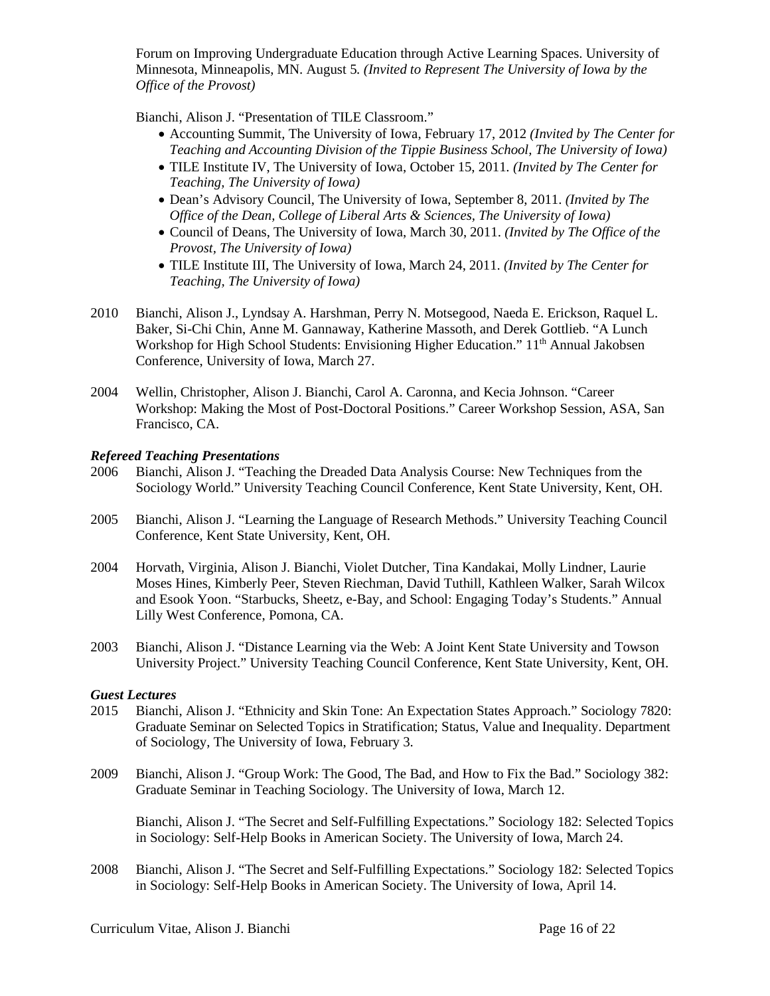Forum on Improving Undergraduate Education through Active Learning Spaces. University of Minnesota, Minneapolis, MN. August 5*. (Invited to Represent The University of Iowa by the Office of the Provost)*

Bianchi, Alison J. "Presentation of TILE Classroom."

- Accounting Summit, The University of Iowa, February 17, 2012 *(Invited by The Center for Teaching and Accounting Division of the Tippie Business School, The University of Iowa)*
- TILE Institute IV, The University of Iowa, October 15, 2011*. (Invited by The Center for Teaching, The University of Iowa)*
- Dean's Advisory Council, The University of Iowa, September 8, 2011. *(Invited by The Office of the Dean, College of Liberal Arts & Sciences, The University of Iowa)*
- Council of Deans, The University of Iowa, March 30, 2011. *(Invited by The Office of the Provost, The University of Iowa)*
- TILE Institute III, The University of Iowa, March 24, 2011. *(Invited by The Center for Teaching, The University of Iowa)*
- 2010 Bianchi, Alison J., Lyndsay A. Harshman, Perry N. Motsegood, Naeda E. Erickson, Raquel L. Baker, Si-Chi Chin, Anne M. Gannaway, Katherine Massoth, and Derek Gottlieb. "A Lunch Workshop for High School Students: Envisioning Higher Education." 11<sup>th</sup> Annual Jakobsen Conference, University of Iowa, March 27.
- 2004 Wellin, Christopher, Alison J. Bianchi, Carol A. Caronna, and Kecia Johnson. "Career Workshop: Making the Most of Post-Doctoral Positions." Career Workshop Session, ASA, San Francisco, CA.

# *Refereed Teaching Presentations*

- 2006 Bianchi, Alison J. "Teaching the Dreaded Data Analysis Course: New Techniques from the Sociology World." University Teaching Council Conference, Kent State University, Kent, OH.
- 2005 Bianchi, Alison J. "Learning the Language of Research Methods." University Teaching Council Conference, Kent State University, Kent, OH.
- 2004 Horvath, Virginia, Alison J. Bianchi, Violet Dutcher, Tina Kandakai, Molly Lindner, Laurie Moses Hines, Kimberly Peer, Steven Riechman, David Tuthill, Kathleen Walker, Sarah Wilcox and Esook Yoon. "Starbucks, Sheetz, e-Bay, and School: Engaging Today's Students." Annual Lilly West Conference, Pomona, CA.
- 2003 Bianchi, Alison J. "Distance Learning via the Web: A Joint Kent State University and Towson University Project." University Teaching Council Conference, Kent State University, Kent, OH.

# *Guest Lectures*

- 2015 Bianchi, Alison J. "Ethnicity and Skin Tone: An Expectation States Approach." Sociology 7820: Graduate Seminar on Selected Topics in Stratification; Status, Value and Inequality. Department of Sociology, The University of Iowa, February 3.
- 2009 Bianchi, Alison J. "Group Work: The Good, The Bad, and How to Fix the Bad." Sociology 382: Graduate Seminar in Teaching Sociology. The University of Iowa, March 12.

Bianchi, Alison J. "The Secret and Self-Fulfilling Expectations." Sociology 182: Selected Topics in Sociology: Self-Help Books in American Society. The University of Iowa, March 24.

2008 Bianchi, Alison J. "The Secret and Self-Fulfilling Expectations." Sociology 182: Selected Topics in Sociology: Self-Help Books in American Society. The University of Iowa, April 14.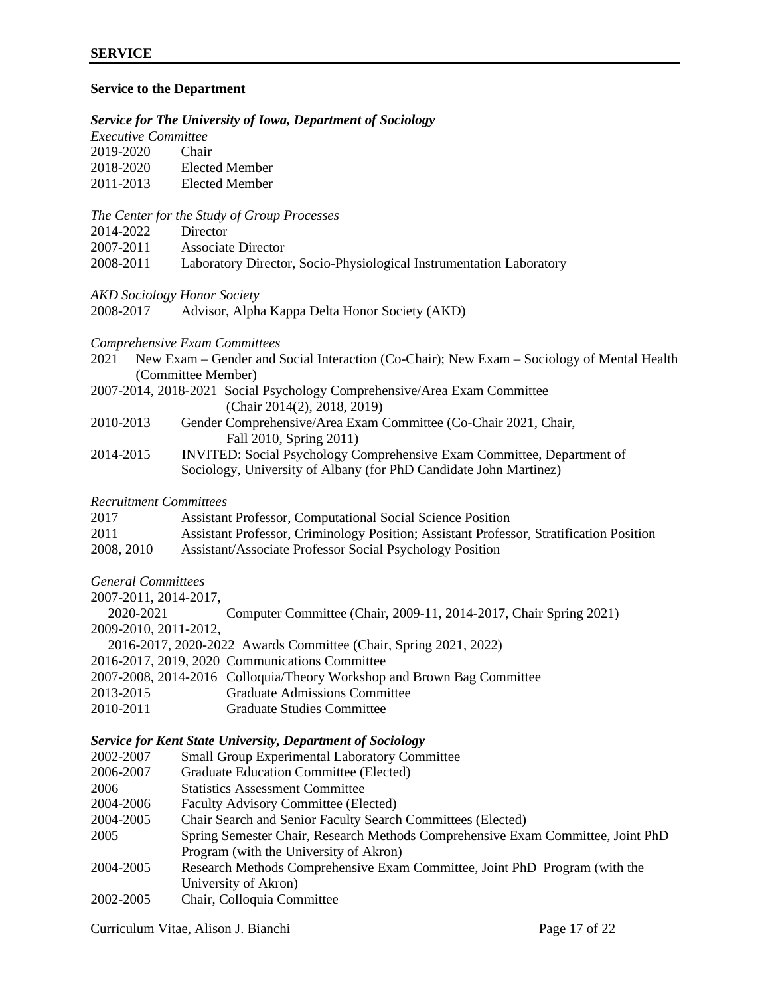#### **Service to the Department**

#### *Service for The University of Iowa, Department of Sociology*

| <i>Executive Committee</i> |       |
|----------------------------|-------|
| 2019-2020                  | Chair |

| 2018-2020  | Elected Member |
|------------|----------------|
| $\sqrt{2}$ |                |

2011-2013 Elected Member

#### *The Center for the Study of Group Processes*

- 2014-2022 Director
- 2007-2011 Associate Director
- 2008-2011 Laboratory Director, Socio-Physiological Instrumentation Laboratory

#### *AKD Sociology Honor Society*

2008-2017 Advisor, Alpha Kappa Delta Honor Society (AKD)

#### *Comprehensive Exam Committees*

- 2021 New Exam Gender and Social Interaction (Co-Chair); New Exam Sociology of Mental Health (Committee Member)
- 2007-2014, 2018-2021 Social Psychology Comprehensive/Area Exam Committee (Chair 2014(2), 2018, 2019)

| 2010-2013 | Gender Comprehensive/Area Exam Committee (Co-Chair 2021, Chair, |
|-----------|-----------------------------------------------------------------|
|           | Fall 2010, Spring 2011)                                         |
|           |                                                                 |

2014-2015 INVITED: Social Psychology Comprehensive Exam Committee, Department of Sociology, University of Albany (for PhD Candidate John Martinez)

## *Recruitment Committees*

| 2017       | <b>Assistant Professor, Computational Social Science Position</b>                       |
|------------|-----------------------------------------------------------------------------------------|
| 2011       | Assistant Professor, Criminology Position; Assistant Professor, Stratification Position |
| 2008, 2010 | Assistant/Associate Professor Social Psychology Position                                |

# *General Committees*

2007-2011, 2014-2017, 2020-2021 Computer Committee (Chair, 2009-11, 2014-2017, Chair Spring 2021) 2009-2010, 2011-2012, 2016-2017, 2020-2022 Awards Committee (Chair, Spring 2021, 2022) 2016-2017, 2019, 2020 Communications Committee 2007-2008, 2014-2016 Colloquia/Theory Workshop and Brown Bag Committee 2013-2015 Graduate Admissions Committee 2010-2011 Graduate Studies Committee

# *Service for Kent State University, Department of Sociology*

| 2002-2007 | <b>Small Group Experimental Laboratory Committee</b>                            |
|-----------|---------------------------------------------------------------------------------|
| 2006-2007 | Graduate Education Committee (Elected)                                          |
| 2006      | <b>Statistics Assessment Committee</b>                                          |
| 2004-2006 | <b>Faculty Advisory Committee (Elected)</b>                                     |
| 2004-2005 | Chair Search and Senior Faculty Search Committees (Elected)                     |
| 2005      | Spring Semester Chair, Research Methods Comprehensive Exam Committee, Joint PhD |
|           | Program (with the University of Akron)                                          |
| 2004-2005 | Research Methods Comprehensive Exam Committee, Joint PhD Program (with the      |
|           | University of Akron)                                                            |
| 2002-2005 | Chair, Colloquia Committee                                                      |

Curriculum Vitae, Alison J. Bianchi Page 17 of 22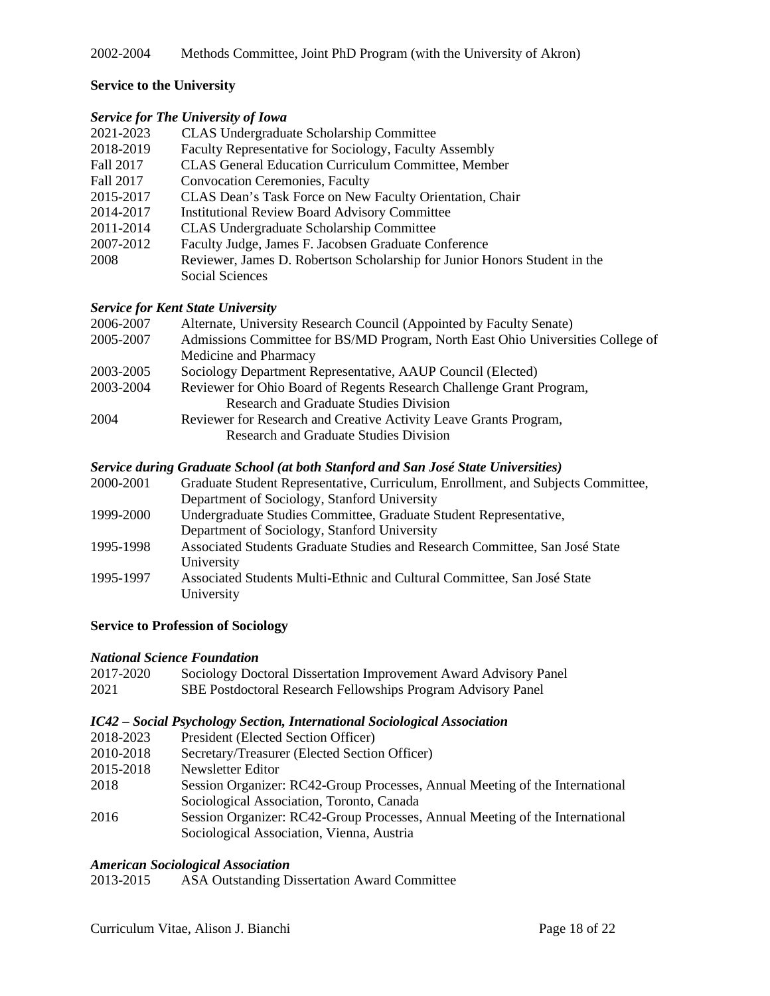# **Service to the University**

# *Service for The University of Iowa*

| 2021-2023 | <b>CLAS Undergraduate Scholarship Committee</b>                           |
|-----------|---------------------------------------------------------------------------|
| 2018-2019 | Faculty Representative for Sociology, Faculty Assembly                    |
| Fall 2017 | <b>CLAS General Education Curriculum Committee, Member</b>                |
| Fall 2017 | <b>Convocation Ceremonies, Faculty</b>                                    |
| 2015-2017 | CLAS Dean's Task Force on New Faculty Orientation, Chair                  |
| 2014-2017 | <b>Institutional Review Board Advisory Committee</b>                      |
| 2011-2014 | <b>CLAS Undergraduate Scholarship Committee</b>                           |
| 2007-2012 | Faculty Judge, James F. Jacobsen Graduate Conference                      |
| 2008      | Reviewer, James D. Robertson Scholarship for Junior Honors Student in the |
|           | Social Sciences                                                           |
|           |                                                                           |

# *Service for Kent State University*

| 2006-2007 | Alternate, University Research Council (Appointed by Faculty Senate)            |
|-----------|---------------------------------------------------------------------------------|
| 2005-2007 | Admissions Committee for BS/MD Program, North East Ohio Universities College of |
|           | Medicine and Pharmacy                                                           |
| 2003-2005 | Sociology Department Representative, AAUP Council (Elected)                     |
| 2003-2004 | Reviewer for Ohio Board of Regents Research Challenge Grant Program,            |
|           | Research and Graduate Studies Division                                          |
| 2004      | Reviewer for Research and Creative Activity Leave Grants Program,               |
|           | Research and Graduate Studies Division                                          |
|           |                                                                                 |

# *Service during Graduate School (at both Stanford and San José State Universities)*

| 2000-2001 | Graduate Student Representative, Curriculum, Enrollment, and Subjects Committee, |
|-----------|----------------------------------------------------------------------------------|
|           | Department of Sociology, Stanford University                                     |
| 1999-2000 | Undergraduate Studies Committee, Graduate Student Representative,                |
|           | Department of Sociology, Stanford University                                     |
| 1995-1998 | Associated Students Graduate Studies and Research Committee, San José State      |
|           | University                                                                       |
| 1995-1997 | Associated Students Multi-Ethnic and Cultural Committee, San José State          |
|           | University                                                                       |
|           |                                                                                  |

# **Service to Profession of Sociology**

# *National Science Foundation*

| 2017-2020                                 | Sociology Doctoral Dissertation Improvement Award Advisory Panel |
|-------------------------------------------|------------------------------------------------------------------|
| 2021                                      | SBE Postdoctoral Research Fellowships Program Advisory Panel     |
| $\sim$ $\sim$ $\sim$ $\sim$ $\sim$ $\sim$ |                                                                  |

# *IC42 – Social Psychology Section, International Sociological Association*

- 2018-2023 President (Elected Section Officer)
- 2010-2018 Secretary/Treasurer (Elected Section Officer)
- 2015-2018 Newsletter Editor
- 2018 Session Organizer: RC42-Group Processes, Annual Meeting of the International Sociological Association, Toronto, Canada
- 2016 Session Organizer: RC42-Group Processes, Annual Meeting of the International Sociological Association, Vienna, Austria

# *American Sociological Association*

2013-2015 ASA Outstanding Dissertation Award Committee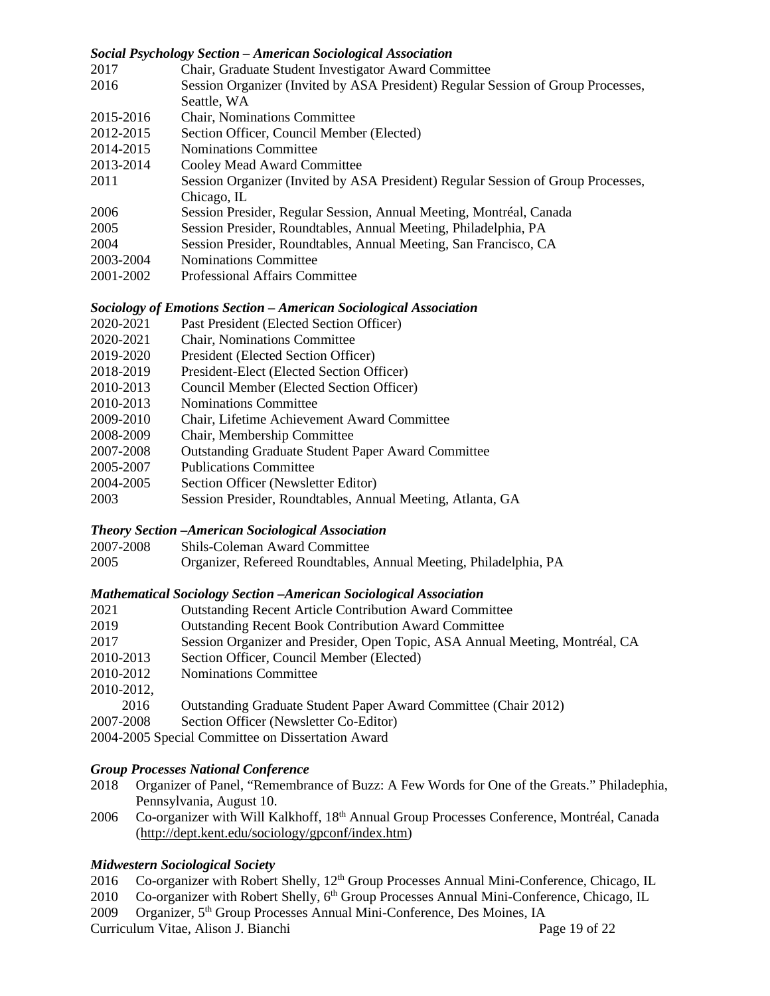# *Social Psychology Section – American Sociological Association*

| 2017      | Chair, Graduate Student Investigator Award Committee                             |
|-----------|----------------------------------------------------------------------------------|
| 2016      | Session Organizer (Invited by ASA President) Regular Session of Group Processes, |
|           | Seattle, WA                                                                      |
| 2015-2016 | <b>Chair, Nominations Committee</b>                                              |
| 2012-2015 | Section Officer, Council Member (Elected)                                        |
| 2014-2015 | <b>Nominations Committee</b>                                                     |
| 2013-2014 | Cooley Mead Award Committee                                                      |
| 2011      | Session Organizer (Invited by ASA President) Regular Session of Group Processes, |
|           | Chicago, IL                                                                      |
| 2006      | Session Presider, Regular Session, Annual Meeting, Montréal, Canada              |
| 2005      | Session Presider, Roundtables, Annual Meeting, Philadelphia, PA                  |
| 2004      | Session Presider, Roundtables, Annual Meeting, San Francisco, CA                 |
| 2003-2004 | <b>Nominations Committee</b>                                                     |
| 2001-2002 | Professional Affairs Committee                                                   |

#### *Sociology of Emotions Section – American Sociological Association*

- 2020-2021 Past President (Elected Section Officer)
- 2020-2021 Chair, Nominations Committee
- 2019-2020 President (Elected Section Officer)
- 2018-2019 President-Elect (Elected Section Officer)
- 2010-2013 Council Member (Elected Section Officer)
- 2010-2013 Nominations Committee
- 2009-2010 Chair, Lifetime Achievement Award Committee
- 2008-2009 Chair, Membership Committee
- 2007-2008 Outstanding Graduate Student Paper Award Committee
- 2005-2007 Publications Committee
- 2004-2005 Section Officer (Newsletter Editor)
- 2003 Session Presider, Roundtables, Annual Meeting, Atlanta, GA

#### *Theory Section –American Sociological Association*

2007-2008 Shils-Coleman Award Committee

2005 Organizer, Refereed Roundtables, Annual Meeting, Philadelphia, PA

#### *Mathematical Sociology Section –American Sociological Association*

- 2021 Outstanding Recent Article Contribution Award Committee
- 2019 Outstanding Recent Book Contribution Award Committee
- 2017 Session Organizer and Presider, Open Topic, ASA Annual Meeting, Montréal, CA
- 2010-2013 Section Officer, Council Member (Elected)
- 2010-2012 Nominations Committee
- 2010-2012,
- 2016 Outstanding Graduate Student Paper Award Committee (Chair 2012)
- 2007-2008 Section Officer (Newsletter Co-Editor)
- 2004-2005 Special Committee on Dissertation Award

#### *Group Processes National Conference*

- 2018 Organizer of Panel, "Remembrance of Buzz: A Few Words for One of the Greats." Philadephia, Pennsylvania, August 10.
- 2006 Co-organizer with Will Kalkhoff, 18<sup>th</sup> Annual Group Processes Conference, Montréal, Canada (http://dept.kent.edu/sociology/gpconf/index.htm)

# *Midwestern Sociological Society*

- 2016 Co-organizer with Robert Shelly, 12<sup>th</sup> Group Processes Annual Mini-Conference, Chicago, IL
- 2010 Co-organizer with Robert Shelly, 6<sup>th</sup> Group Processes Annual Mini-Conference, Chicago, IL
- 2009 Organizer, 5<sup>th</sup> Group Processes Annual Mini-Conference, Des Moines, IA

Curriculum Vitae, Alison J. Bianchi Page 19 of 22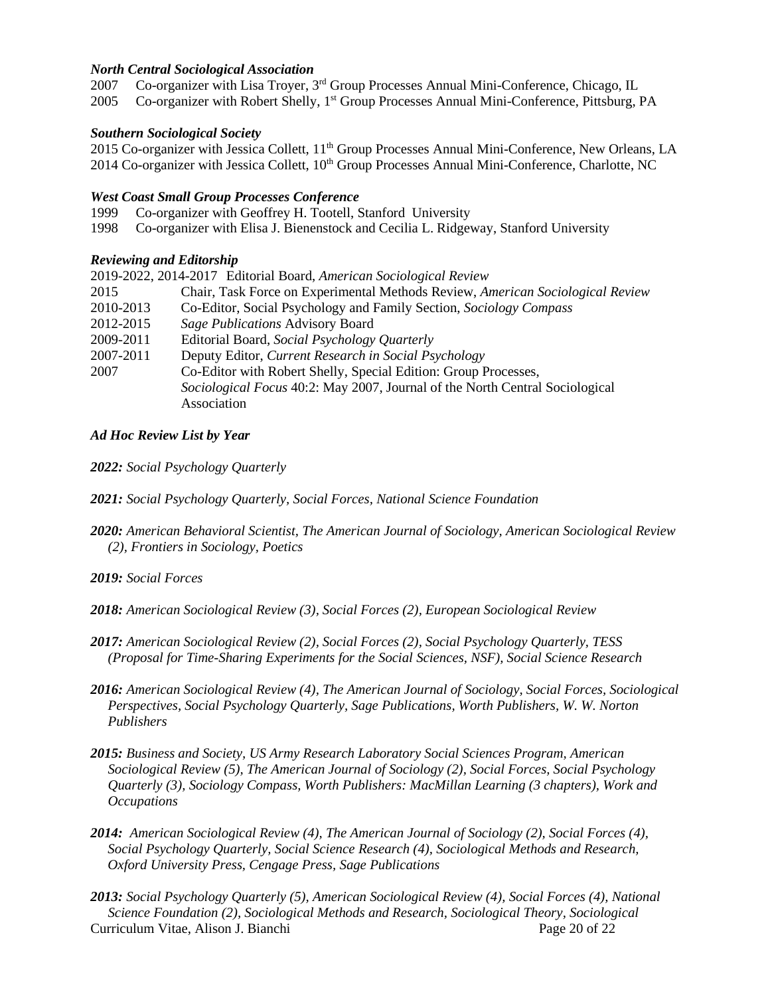# *North Central Sociological Association*

2007 Co-organizer with Lisa Troyer,  $3<sup>rd</sup>$  Group Processes Annual Mini-Conference, Chicago, IL

2005 Co-organizer with Robert Shelly, 1<sup>st</sup> Group Processes Annual Mini-Conference, Pittsburg, PA

#### *Southern Sociological Society*

2015 Co-organizer with Jessica Collett, 11<sup>th</sup> Group Processes Annual Mini-Conference, New Orleans, LA 2014 Co-organizer with Jessica Collett, 10<sup>th</sup> Group Processes Annual Mini-Conference, Charlotte, NC

#### *West Coast Small Group Processes Conference*

1999 Co-organizer with Geoffrey H. Tootell, Stanford University

1998 Co-organizer with Elisa J. Bienenstock and Cecilia L. Ridgeway, Stanford University

# *Reviewing and Editorship*

|           | 2019-2022, 2014-2017 Editorial Board, American Sociological Review                          |
|-----------|---------------------------------------------------------------------------------------------|
| 2015      | Chair, Task Force on Experimental Methods Review, American Sociological Review              |
| 2010-2013 | Co-Editor, Social Psychology and Family Section, Sociology Compass                          |
| 2012-2015 | Sage Publications Advisory Board                                                            |
| 2009-2011 | Editorial Board, Social Psychology Quarterly                                                |
| 2007-2011 | Deputy Editor, Current Research in Social Psychology                                        |
| 2007      | Co-Editor with Robert Shelly, Special Edition: Group Processes,                             |
|           | Sociological Focus 40:2: May 2007, Journal of the North Central Sociological<br>Association |
|           |                                                                                             |

# *Ad Hoc Review List by Year*

- *2022: Social Psychology Quarterly*
- *2021: Social Psychology Quarterly, Social Forces, National Science Foundation*
- *2020: American Behavioral Scientist, The American Journal of Sociology, American Sociological Review (2), Frontiers in Sociology, Poetics*

# *2019: Social Forces*

- *2018: American Sociological Review (3), Social Forces (2), European Sociological Review*
- *2017: American Sociological Review (2), Social Forces (2), Social Psychology Quarterly, TESS (Proposal for Time-Sharing Experiments for the Social Sciences, NSF), Social Science Research*
- *2016: American Sociological Review (4), The American Journal of Sociology, Social Forces, Sociological Perspectives, Social Psychology Quarterly, Sage Publications, Worth Publishers, W. W. Norton Publishers*
- *2015: Business and Society, US Army Research Laboratory Social Sciences Program, American Sociological Review (5), The American Journal of Sociology (2), Social Forces, Social Psychology Quarterly (3), Sociology Compass, Worth Publishers: MacMillan Learning (3 chapters), Work and Occupations*
- *2014: American Sociological Review (4), The American Journal of Sociology (2), Social Forces (4), Social Psychology Quarterly, Social Science Research (4), Sociological Methods and Research, Oxford University Press, Cengage Press, Sage Publications*
- Curriculum Vitae, Alison J. Bianchi Page 20 of 22 *2013: Social Psychology Quarterly (5), American Sociological Review (4), Social Forces (4), National Science Foundation (2), Sociological Methods and Research, Sociological Theory, Sociological*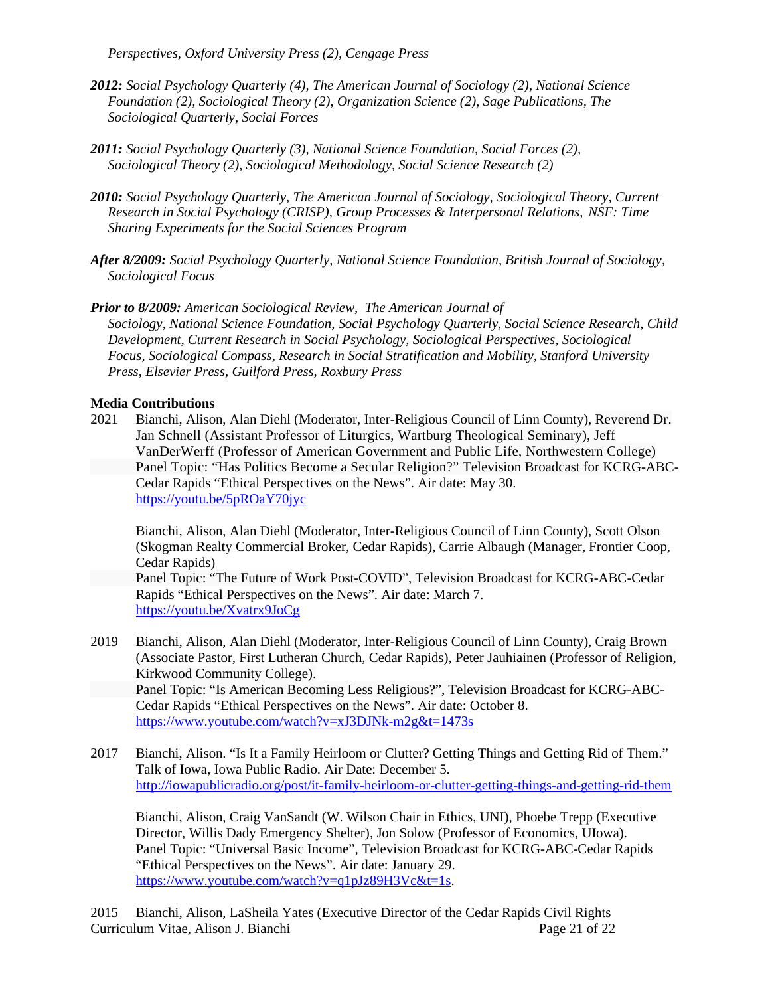*Perspectives, Oxford University Press (2), Cengage Press*

- *2012: Social Psychology Quarterly (4), The American Journal of Sociology (2), National Science Foundation (2), Sociological Theory (2), Organization Science (2), Sage Publications, The Sociological Quarterly, Social Forces*
- *2011: Social Psychology Quarterly (3), National Science Foundation, Social Forces (2), Sociological Theory (2), Sociological Methodology, Social Science Research (2)*
- *2010: Social Psychology Quarterly, The American Journal of Sociology, Sociological Theory, Current Research in Social Psychology (CRISP), Group Processes & Interpersonal Relations, NSF: Time Sharing Experiments for the Social Sciences Program*
- *After 8/2009: Social Psychology Quarterly, National Science Foundation, British Journal of Sociology, Sociological Focus*

*Prior to 8/2009: American Sociological Review*, *The American Journal of Sociology*, *National Science Foundation, Social Psychology Quarterly, Social Science Research, Child Development, Current Research in Social Psychology, Sociological Perspectives, Sociological Focus, Sociological Compass, Research in Social Stratification and Mobility, Stanford University Press, Elsevier Press, Guilford Press, Roxbury Press*

# **Media Contributions**

2021 Bianchi, Alison, Alan Diehl (Moderator, Inter-Religious Council of Linn County), Reverend Dr. Jan Schnell (Assistant Professor of Liturgics, Wartburg Theological Seminary), Jeff VanDerWerff (Professor of American Government and Public Life, Northwestern College) Panel Topic: "Has Politics Become a Secular Religion?" Television Broadcast for KCRG-ABC-Cedar Rapids "Ethical Perspectives on the News". Air date: May 30. <https://youtu.be/5pROaY70jyc>

Bianchi, Alison, Alan Diehl (Moderator, Inter-Religious Council of Linn County), Scott Olson (Skogman Realty Commercial Broker, Cedar Rapids), Carrie Albaugh (Manager, Frontier Coop, Cedar Rapids)

Panel Topic: "The Future of Work Post-COVID", Television Broadcast for KCRG-ABC-Cedar Rapids "Ethical Perspectives on the News". Air date: March 7. <https://youtu.be/Xvatrx9JoCg>

2019 Bianchi, Alison, Alan Diehl (Moderator, Inter-Religious Council of Linn County), Craig Brown (Associate Pastor, First Lutheran Church, Cedar Rapids), Peter Jauhiainen (Professor of Religion, Kirkwood Community College).

Panel Topic: "Is American Becoming Less Religious?", Television Broadcast for KCRG-ABC-Cedar Rapids "Ethical Perspectives on the News". Air date: October 8. <https://www.youtube.com/watch?v=xJ3DJNk-m2g&t=1473s>

2017 Bianchi, Alison. "Is It a Family Heirloom or Clutter? Getting Things and Getting Rid of Them." Talk of Iowa, Iowa Public Radio. Air Date: December 5. <http://iowapublicradio.org/post/it-family-heirloom-or-clutter-getting-things-and-getting-rid-them>

Bianchi, Alison, Craig VanSandt (W. Wilson Chair in Ethics, UNI), Phoebe Trepp (Executive Director, Willis Dady Emergency Shelter), Jon Solow (Professor of Economics, UIowa). Panel Topic: "Universal Basic Income", Television Broadcast for KCRG-ABC-Cedar Rapids "Ethical Perspectives on the News". Air date: January 29. [https://www.youtube.com/watch?v=q1pJz89H3Vc&t=1s.](https://www.youtube.com/watch?v=q1pJz89H3Vc&t=1s)

Curriculum Vitae, Alison J. Bianchi Page 21 of 22 2015 Bianchi, Alison, LaSheila Yates (Executive Director of the Cedar Rapids Civil Rights